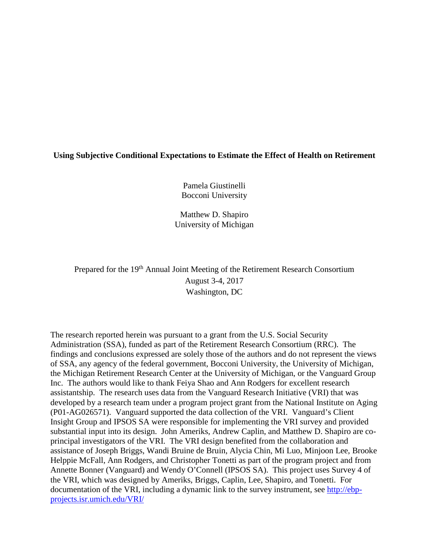# **Using Subjective Conditional Expectations to Estimate the Effect of Health on Retirement**

Pamela Giustinelli Bocconi University

Matthew D. Shapiro University of Michigan

Prepared for the 19<sup>th</sup> Annual Joint Meeting of the Retirement Research Consortium August 3-4, 2017 Washington, DC

The research reported herein was pursuant to a grant from the U.S. Social Security Administration (SSA), funded as part of the Retirement Research Consortium (RRC). The findings and conclusions expressed are solely those of the authors and do not represent the views of SSA, any agency of the federal government, Bocconi University, the University of Michigan, the Michigan Retirement Research Center at the University of Michigan, or the Vanguard Group Inc. The authors would like to thank Feiya Shao and Ann Rodgers for excellent research assistantship. The research uses data from the Vanguard Research Initiative (VRI) that was developed by a research team under a program project grant from the National Institute on Aging (P01-AG026571). Vanguard supported the data collection of the VRI. Vanguard's Client Insight Group and IPSOS SA were responsible for implementing the VRI survey and provided substantial input into its design. John Ameriks, Andrew Caplin, and Matthew D. Shapiro are coprincipal investigators of the VRI. The VRI design benefited from the collaboration and assistance of Joseph Briggs, Wandi Bruine de Bruin, Alycia Chin, Mi Luo, Minjoon Lee, Brooke Helppie McFall, Ann Rodgers, and Christopher Tonetti as part of the program project and from Annette Bonner (Vanguard) and Wendy O'Connell (IPSOS SA). This project uses Survey 4 of the VRI, which was designed by Ameriks, Briggs, Caplin, Lee, Shapiro, and Tonetti. For documentation of the VRI, including a dynamic link to the survey instrument, see [http://ebp](http://ebp-projects.isr.umich.edu/VRI/)[projects.isr.umich.edu/VRI/](http://ebp-projects.isr.umich.edu/VRI/)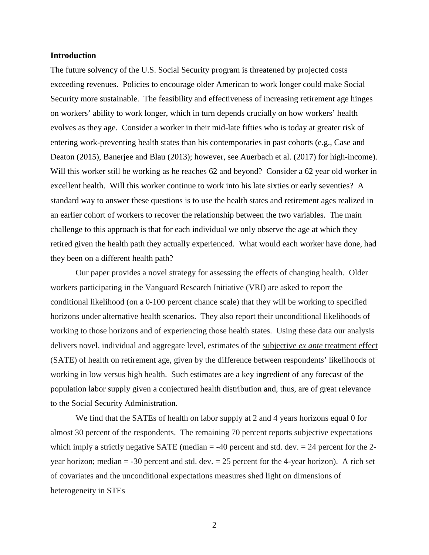### **Introduction**

The future solvency of the U.S. Social Security program is threatened by projected costs exceeding revenues. Policies to encourage older American to work longer could make Social Security more sustainable. The feasibility and effectiveness of increasing retirement age hinges on workers' ability to work longer, which in turn depends crucially on how workers' health evolves as they age. Consider a worker in their mid-late fifties who is today at greater risk of entering work-preventing health states than his contemporaries in past cohorts (e.g., Case and Deaton (2015), Banerjee and Blau (2013); however, see Auerbach et al. (2017) for high-income). Will this worker still be working as he reaches 62 and beyond? Consider a 62 year old worker in excellent health. Will this worker continue to work into his late sixties or early seventies? A standard way to answer these questions is to use the health states and retirement ages realized in an earlier cohort of workers to recover the relationship between the two variables. The main challenge to this approach is that for each individual we only observe the age at which they retired given the health path they actually experienced. What would each worker have done, had they been on a different health path?

Our paper provides a novel strategy for assessing the effects of changing health. Older workers participating in the Vanguard Research Initiative (VRI) are asked to report the conditional likelihood (on a 0-100 percent chance scale) that they will be working to specified horizons under alternative health scenarios. They also report their unconditional likelihoods of working to those horizons and of experiencing those health states. Using these data our analysis delivers novel, individual and aggregate level, estimates of the subjective *ex ante* treatment effect (SATE) of health on retirement age, given by the difference between respondents' likelihoods of working in low versus high health. Such estimates are a key ingredient of any forecast of the population labor supply given a conjectured health distribution and, thus, are of great relevance to the Social Security Administration.

We find that the SATEs of health on labor supply at 2 and 4 years horizons equal 0 for almost 30 percent of the respondents. The remaining 70 percent reports subjective expectations which imply a strictly negative SATE (median  $=$  -40 percent and std. dev.  $=$  24 percent for the 2year horizon; median  $= -30$  percent and std. dev.  $= 25$  percent for the 4-year horizon). A rich set of covariates and the unconditional expectations measures shed light on dimensions of heterogeneity in STEs

2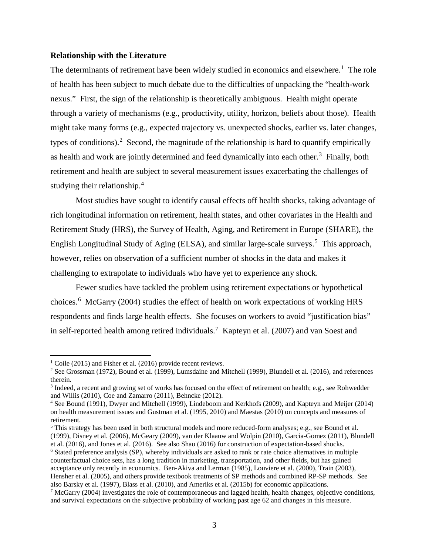### **Relationship with the Literature**

The determinants of retirement have been widely studied in economics and elsewhere.<sup>[1](#page-2-0)</sup> The role of health has been subject to much debate due to the difficulties of unpacking the "health-work nexus." First, the sign of the relationship is theoretically ambiguous. Health might operate through a variety of mechanisms (e.g., productivity, utility, horizon, beliefs about those). Health might take many forms (e.g., expected trajectory vs. unexpected shocks, earlier vs. later changes, types of conditions).<sup>[2](#page-2-1)</sup> Second, the magnitude of the relationship is hard to quantify empirically as health and work are jointly determined and feed dynamically into each other.<sup>[3](#page-2-2)</sup> Finally, both retirement and health are subject to several measurement issues exacerbating the challenges of studying their relationship.[4](#page-2-3)

Most studies have sought to identify causal effects off health shocks, taking advantage of rich longitudinal information on retirement, health states, and other covariates in the Health and Retirement Study (HRS), the Survey of Health, Aging, and Retirement in Europe (SHARE), the English Longitudinal Study of Aging (ELSA), and similar large-scale surveys.<sup>[5](#page-2-4)</sup> This approach, however, relies on observation of a sufficient number of shocks in the data and makes it challenging to extrapolate to individuals who have yet to experience any shock.

Fewer studies have tackled the problem using retirement expectations or hypothetical choices.[6](#page-2-5) McGarry (2004) studies the effect of health on work expectations of working HRS respondents and finds large health effects. She focuses on workers to avoid "justification bias" in self-reported health among retired individuals.<sup>[7](#page-2-6)</sup> Kapteyn et al. (2007) and van Soest and

 $\overline{\phantom{a}}$ 

<span id="page-2-4"></span><sup>5</sup> This strategy has been used in both structural models and more reduced-form analyses; e.g., see Bound et al. (1999), Disney et al. (2006), McGeary (2009), van der Klaauw and Wolpin (2010), Garcia-Gomez (2011), Blundell et al. (2016), and Jones et al. (2016). See also Shao (2016) for construction of expectation-based shocks.

<span id="page-2-5"></span><sup>6</sup> Stated preference analysis (SP), whereby individuals are asked to rank or rate choice alternatives in multiple counterfactual choice sets, has a long tradition in marketing, transportation, and other fields, but has gained acceptance only recently in economics. Ben-Akiva and Lerman (1985), Louviere et al. (2000), Train (2003), Hensher et al. (2005), and others provide textbook treatments of SP methods and combined RP-SP methods. See also Barsky et al. (1997), Blass et al. (2010), and Ameriks et al. (2015b) for economic applications.

<span id="page-2-0"></span><sup>&</sup>lt;sup>1</sup> Coile (2015) and Fisher et al. (2016) provide recent reviews.

<span id="page-2-1"></span><sup>&</sup>lt;sup>2</sup> See Grossman (1972), Bound et al. (1999), Lumsdaine and Mitchell (1999), Blundell et al. (2016), and references therein.

<span id="page-2-2"></span><sup>3</sup> Indeed, a recent and growing set of works has focused on the effect of retirement on health; e.g., see Rohwedder and Willis (2010), Coe and Zamarro (2011), Behncke (2012).

<span id="page-2-3"></span><sup>4</sup> See Bound (1991), Dwyer and Mitchell (1999), Lindeboom and Kerkhofs (2009), and Kapteyn and Meijer (2014) on health measurement issues and Gustman et al. (1995, 2010) and Maestas (2010) on concepts and measures of retirement.

<span id="page-2-6"></span><sup>&</sup>lt;sup>7</sup> McGarry (2004) investigates the role of contemporaneous and lagged health, health changes, objective conditions, and survival expectations on the subjective probability of working past age 62 and changes in this measure.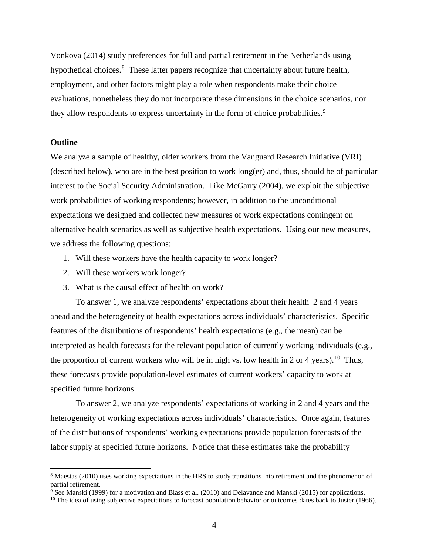Vonkova (2014) study preferences for full and partial retirement in the Netherlands using hypothetical choices.<sup>[8](#page-3-0)</sup> These latter papers recognize that uncertainty about future health, employment, and other factors might play a role when respondents make their choice evaluations, nonetheless they do not incorporate these dimensions in the choice scenarios, nor they allow respondents to express uncertainty in the form of choice probabilities.<sup>[9](#page-3-1)</sup>

### **Outline**

l

We analyze a sample of healthy, older workers from the Vanguard Research Initiative (VRI) (described below), who are in the best position to work long(er) and, thus, should be of particular interest to the Social Security Administration. Like McGarry (2004), we exploit the subjective work probabilities of working respondents; however, in addition to the unconditional expectations we designed and collected new measures of work expectations contingent on alternative health scenarios as well as subjective health expectations. Using our new measures, we address the following questions:

- 1. Will these workers have the health capacity to work longer?
- 2. Will these workers work longer?
- 3. What is the causal effect of health on work?

To answer 1, we analyze respondents' expectations about their health 2 and 4 years ahead and the heterogeneity of health expectations across individuals' characteristics. Specific features of the distributions of respondents' health expectations (e.g., the mean) can be interpreted as health forecasts for the relevant population of currently working individuals (e.g., the proportion of current workers who will be in high vs. low health in 2 or 4 years).<sup>[10](#page-3-2)</sup> Thus, these forecasts provide population-level estimates of current workers' capacity to work at specified future horizons.

To answer 2, we analyze respondents' expectations of working in 2 and 4 years and the heterogeneity of working expectations across individuals' characteristics. Once again, features of the distributions of respondents' working expectations provide population forecasts of the labor supply at specified future horizons. Notice that these estimates take the probability

<span id="page-3-0"></span><sup>8</sup> Maestas (2010) uses working expectations in the HRS to study transitions into retirement and the phenomenon of partial retirement.

<span id="page-3-1"></span><sup>&</sup>lt;sup>9</sup> See Manski (1999) for a motivation and Blass et al. (2010) and Delavande and Manski (2015) for applications.

<span id="page-3-2"></span> $10$  The idea of using subjective expectations to forecast population behavior or outcomes dates back to Juster (1966).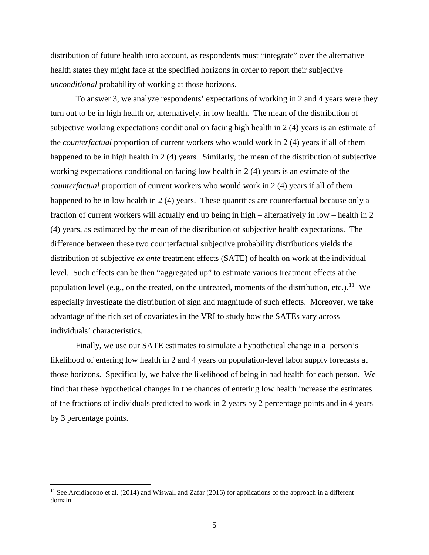distribution of future health into account, as respondents must "integrate" over the alternative health states they might face at the specified horizons in order to report their subjective *unconditional* probability of working at those horizons.

To answer 3, we analyze respondents' expectations of working in 2 and 4 years were they turn out to be in high health or, alternatively, in low health. The mean of the distribution of subjective working expectations conditional on facing high health in 2 (4) years is an estimate of the *counterfactual* proportion of current workers who would work in 2 (4) years if all of them happened to be in high health in 2 (4) years. Similarly, the mean of the distribution of subjective working expectations conditional on facing low health in 2 (4) years is an estimate of the *counterfactual* proportion of current workers who would work in 2 (4) years if all of them happened to be in low health in 2 (4) years. These quantities are counterfactual because only a fraction of current workers will actually end up being in high – alternatively in low – health in 2 (4) years, as estimated by the mean of the distribution of subjective health expectations. The difference between these two counterfactual subjective probability distributions yields the distribution of subjective *ex ante* treatment effects (SATE) of health on work at the individual level. Such effects can be then "aggregated up" to estimate various treatment effects at the population level (e.g., on the treated, on the untreated, moments of the distribution, etc.).<sup>[11](#page-4-0)</sup> We especially investigate the distribution of sign and magnitude of such effects. Moreover, we take advantage of the rich set of covariates in the VRI to study how the SATEs vary across individuals' characteristics.

Finally, we use our SATE estimates to simulate a hypothetical change in a person's likelihood of entering low health in 2 and 4 years on population-level labor supply forecasts at those horizons. Specifically, we halve the likelihood of being in bad health for each person. We find that these hypothetical changes in the chances of entering low health increase the estimates of the fractions of individuals predicted to work in 2 years by 2 percentage points and in 4 years by 3 percentage points.

l

<span id="page-4-0"></span><sup>&</sup>lt;sup>11</sup> See Arcidiacono et al. (2014) and Wiswall and Zafar (2016) for applications of the approach in a different domain.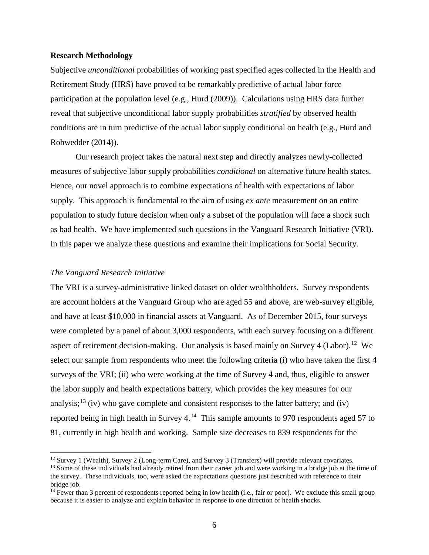### **Research Methodology**

Subjective *unconditional* probabilities of working past specified ages collected in the Health and Retirement Study (HRS) have proved to be remarkably predictive of actual labor force participation at the population level (e.g., Hurd (2009)). Calculations using HRS data further reveal that subjective unconditional labor supply probabilities *stratified* by observed health conditions are in turn predictive of the actual labor supply conditional on health (e.g., Hurd and Rohwedder (2014)).

Our research project takes the natural next step and directly analyzes newly-collected measures of subjective labor supply probabilities *conditional* on alternative future health states. Hence, our novel approach is to combine expectations of health with expectations of labor supply. This approach is fundamental to the aim of using *ex ante* measurement on an entire population to study future decision when only a subset of the population will face a shock such as bad health. We have implemented such questions in the Vanguard Research Initiative (VRI). In this paper we analyze these questions and examine their implications for Social Security.

#### *The Vanguard Research Initiative*

 $\overline{\phantom{a}}$ 

The VRI is a survey-administrative linked dataset on older wealthholders. Survey respondents are account holders at the Vanguard Group who are aged 55 and above, are web-survey eligible, and have at least \$10,000 in financial assets at Vanguard. As of December 2015, four surveys were completed by a panel of about 3,000 respondents, with each survey focusing on a different aspect of retirement decision-making. Our analysis is based mainly on Survey 4 (Labor).<sup>12</sup> We select our sample from respondents who meet the following criteria (i) who have taken the first 4 surveys of the VRI; (ii) who were working at the time of Survey 4 and, thus, eligible to answer the labor supply and health expectations battery, which provides the key measures for our analysis;<sup>[13](#page-5-1)</sup> (iv) who gave complete and consistent responses to the latter battery; and (iv) reported being in high health in Survey  $4^{14}$  $4^{14}$  $4^{14}$ . This sample amounts to 970 respondents aged 57 to 81, currently in high health and working. Sample size decreases to 839 respondents for the

<span id="page-5-1"></span><span id="page-5-0"></span><sup>&</sup>lt;sup>12</sup> Survey 1 (Wealth), Survey 2 (Long-term Care), and Survey 3 (Transfers) will provide relevant covariates. <sup>13</sup> Some of these individuals had already retired from their career job and were working in a bridge job at the time of the survey. These individuals, too, were asked the expectations questions just described with reference to their bridge job.

<span id="page-5-2"></span> $14$  Fewer than 3 percent of respondents reported being in low health (i.e., fair or poor). We exclude this small group because it is easier to analyze and explain behavior in response to one direction of health shocks.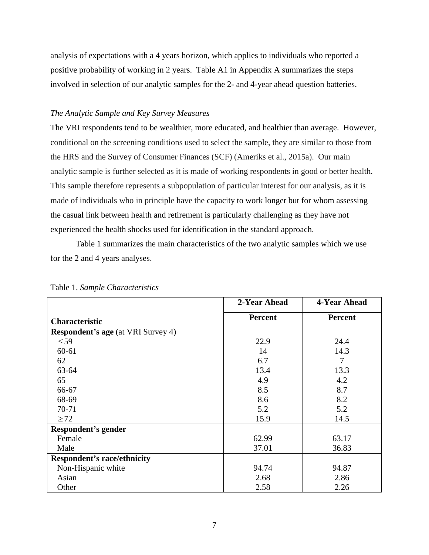analysis of expectations with a 4 years horizon, which applies to individuals who reported a positive probability of working in 2 years. Table A1 in Appendix A summarizes the steps involved in selection of our analytic samples for the 2- and 4-year ahead question batteries.

### *The Analytic Sample and Key Survey Measures*

The VRI respondents tend to be wealthier, more educated, and healthier than average. However, conditional on the screening conditions used to select the sample, they are similar to those from the HRS and the Survey of Consumer Finances (SCF) (Ameriks et al., 2015a). Our main analytic sample is further selected as it is made of working respondents in good or better health. This sample therefore represents a subpopulation of particular interest for our analysis, as it is made of individuals who in principle have the capacity to work longer but for whom assessing the casual link between health and retirement is particularly challenging as they have not experienced the health shocks used for identification in the standard approach.

Table 1 summarizes the main characteristics of the two analytic samples which we use for the 2 and 4 years analyses.

|                                           | 2-Year Ahead   | 4-Year Ahead   |
|-------------------------------------------|----------------|----------------|
| <b>Characteristic</b>                     | <b>Percent</b> | <b>Percent</b> |
| <b>Respondent's age</b> (at VRI Survey 4) |                |                |
| $\leq 59$                                 | 22.9           | 24.4           |
| 60-61                                     | 14             | 14.3           |
| 62                                        | 6.7            | $\tau$         |
| 63-64                                     | 13.4           | 13.3           |
| 65                                        | 4.9            | 4.2            |
| 66-67                                     | 8.5            | 8.7            |
| 68-69                                     | 8.6            | 8.2            |
| 70-71                                     | 5.2            | 5.2            |
| $\geq$ 72                                 | 15.9           | 14.5           |
| <b>Respondent's gender</b>                |                |                |
| Female                                    | 62.99          | 63.17          |
| Male                                      | 37.01          | 36.83          |
| <b>Respondent's race/ethnicity</b>        |                |                |
| Non-Hispanic white                        | 94.74          | 94.87          |
| Asian                                     | 2.68           | 2.86           |
| Other                                     | 2.58           | 2.26           |

Table 1. *Sample Characteristics*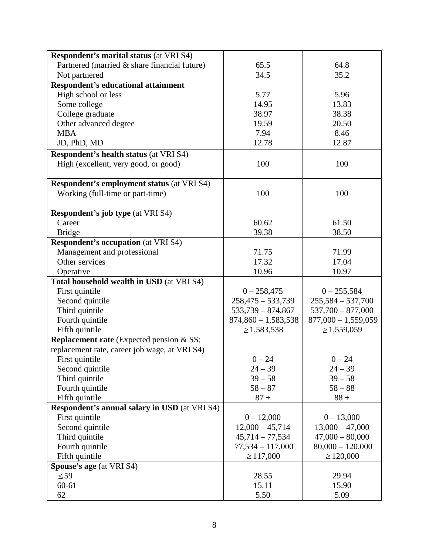| <b>Respondent's marital status (at VRI S4)</b>       |                       |                       |
|------------------------------------------------------|-----------------------|-----------------------|
| Partnered (married & share financial future)         | 65.5                  | 64.8                  |
| Not partnered                                        | 34.5                  | 35.2                  |
| <b>Respondent's educational attainment</b>           |                       |                       |
| High school or less                                  | 5.77                  | 5.96                  |
| Some college                                         | 14.95                 | 13.83                 |
| College graduate                                     | 38.97                 | 38.38                 |
| Other advanced degree                                | 19.59                 | 20.50                 |
| <b>MBA</b>                                           | 7.94                  | 8.46                  |
| JD, PhD, MD                                          | 12.78                 | 12.87                 |
| <b>Respondent's health status (at VRI S4)</b>        |                       |                       |
| High (excellent, very good, or good)                 | 100                   | 100                   |
|                                                      |                       |                       |
| <b>Respondent's employment status (at VRI S4)</b>    |                       |                       |
| Working (full-time or part-time)                     | 100                   | 100                   |
|                                                      |                       |                       |
| <b>Respondent's job type (at VRI S4)</b>             |                       |                       |
| Career                                               | 60.62                 | 61.50                 |
| <b>Bridge</b>                                        | 39.38                 | 38.50                 |
| <b>Respondent's occupation</b> (at VRI S4)           |                       |                       |
| Management and professional                          | 71.75                 | 71.99                 |
| Other services                                       | 17.32                 | 17.04                 |
| Operative                                            | 10.96                 | 10.97                 |
| Total household wealth in USD (at VRI S4)            |                       |                       |
| First quintile                                       | $0 - 258,475$         | $0 - 255,584$         |
| Second quintile                                      | $258,475 - 533,739$   | $255,584 - 537,700$   |
| Third quintile                                       | $533,739 - 874,867$   | $537,700 - 877,000$   |
| Fourth quintile                                      | $874,860 - 1,583,538$ | $877,000 - 1,559,059$ |
| Fifth quintile                                       | $\geq 1,583,538$      | $\geq 1,559,059$      |
| Replacement rate (Expected pension & SS;             |                       |                       |
| replacement rate, career job wage, at VRI S4)        |                       |                       |
| First quintile                                       | $0 - 24$              | $0 - 24$              |
| Second quintile                                      | $24 - 39$             | $24 - 39$             |
| Third quintile                                       | $39 - 58$             | $39 - 58$             |
| Fourth quintile                                      | $58 - 87$             | $58 - 88$             |
| Fifth quintile                                       | $87 +$                | $88 +$                |
| <b>Respondent's annual salary in USD</b> (at VRI S4) |                       |                       |
| First quintile                                       | $0 - 12,000$          | $0 - 13,000$          |
| Second quintile                                      | $12,000 - 45,714$     | $13,000 - 47,000$     |
| Third quintile                                       | $45,714 - 77,534$     | $47,000 - 80,000$     |
| Fourth quintile                                      | $77,534 - 117,000$    | $80,000 - 120,000$    |
| Fifth quintile                                       | $\geq 117,000$        | $\geq$ 120,000        |
| Spouse's age (at VRI S4)                             |                       |                       |
| $\leq 59$                                            | 28.55                 | 29.94                 |
| $60 - 61$                                            | 15.11                 | 15.90                 |
| 62                                                   | 5.50                  | 5.09                  |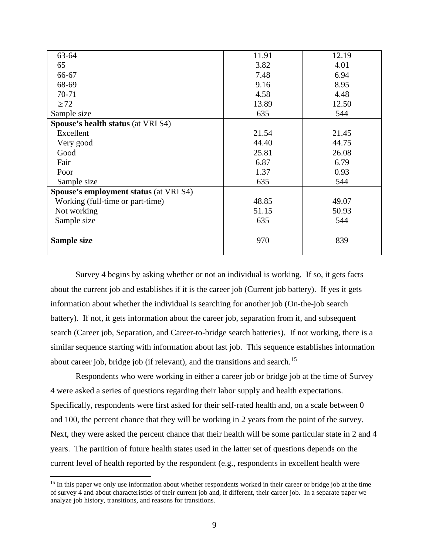| 63-64                                         | 11.91 | 12.19 |
|-----------------------------------------------|-------|-------|
| 65                                            | 3.82  | 4.01  |
| 66-67                                         | 7.48  | 6.94  |
| 68-69                                         | 9.16  | 8.95  |
| 70-71                                         | 4.58  | 4.48  |
| $\geq$ 72                                     | 13.89 | 12.50 |
| Sample size                                   | 635   | 544   |
| <b>Spouse's health status (at VRI S4)</b>     |       |       |
| Excellent                                     | 21.54 | 21.45 |
| Very good                                     | 44.40 | 44.75 |
| Good                                          | 25.81 | 26.08 |
| Fair                                          | 6.87  | 6.79  |
| Poor                                          | 1.37  | 0.93  |
| Sample size                                   | 635   | 544   |
| <b>Spouse's employment status (at VRI S4)</b> |       |       |
| Working (full-time or part-time)              | 48.85 | 49.07 |
| Not working                                   | 51.15 | 50.93 |
| Sample size                                   | 635   | 544   |
| Sample size                                   | 970   | 839   |

Survey 4 begins by asking whether or not an individual is working. If so, it gets facts about the current job and establishes if it is the career job (Current job battery). If yes it gets information about whether the individual is searching for another job (On-the-job search battery). If not, it gets information about the career job, separation from it, and subsequent search (Career job, Separation, and Career-to-bridge search batteries). If not working, there is a similar sequence starting with information about last job. This sequence establishes information about career job, bridge job (if relevant), and the transitions and search.<sup>[15](#page-8-0)</sup>

Respondents who were working in either a career job or bridge job at the time of Survey 4 were asked a series of questions regarding their labor supply and health expectations. Specifically, respondents were first asked for their self-rated health and, on a scale between 0 and 100, the percent chance that they will be working in 2 years from the point of the survey. Next, they were asked the percent chance that their health will be some particular state in 2 and 4 years. The partition of future health states used in the latter set of questions depends on the current level of health reported by the respondent (e.g., respondents in excellent health were

 $\overline{\phantom{a}}$ 

<span id="page-8-0"></span><sup>&</sup>lt;sup>15</sup> In this paper we only use information about whether respondents worked in their career or bridge job at the time of survey 4 and about characteristics of their current job and, if different, their career job. In a separate paper we analyze job history, transitions, and reasons for transitions.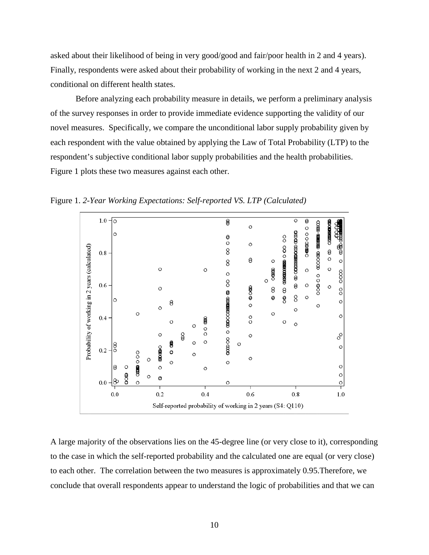asked about their likelihood of being in very good/good and fair/poor health in 2 and 4 years). Finally, respondents were asked about their probability of working in the next 2 and 4 years, conditional on different health states.

Before analyzing each probability measure in details, we perform a preliminary analysis of the survey responses in order to provide immediate evidence supporting the validity of our novel measures. Specifically, we compare the unconditional labor supply probability given by each respondent with the value obtained by applying the Law of Total Probability (LTP) to the respondent's subjective conditional labor supply probabilities and the health probabilities. Figure 1 plots these two measures against each other.



Figure 1. *2-Year Working Expectations: Self-reported VS. LTP (Calculated)*

A large majority of the observations lies on the 45-degree line (or very close to it), corresponding to the case in which the self-reported probability and the calculated one are equal (or very close) to each other. The correlation between the two measures is approximately 0.95.Therefore, we conclude that overall respondents appear to understand the logic of probabilities and that we can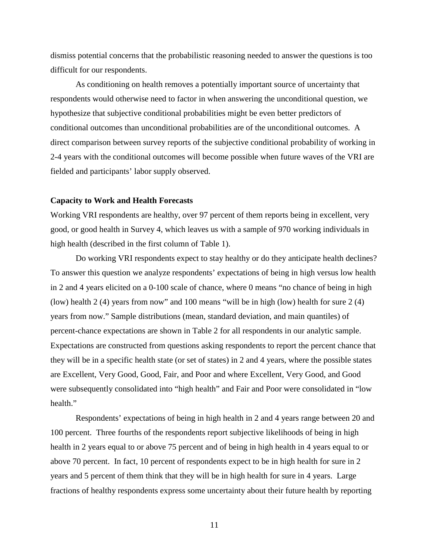dismiss potential concerns that the probabilistic reasoning needed to answer the questions is too difficult for our respondents.

As conditioning on health removes a potentially important source of uncertainty that respondents would otherwise need to factor in when answering the unconditional question, we hypothesize that subjective conditional probabilities might be even better predictors of conditional outcomes than unconditional probabilities are of the unconditional outcomes. A direct comparison between survey reports of the subjective conditional probability of working in 2-4 years with the conditional outcomes will become possible when future waves of the VRI are fielded and participants' labor supply observed.

### **Capacity to Work and Health Forecasts**

Working VRI respondents are healthy, over 97 percent of them reports being in excellent, very good, or good health in Survey 4, which leaves us with a sample of 970 working individuals in high health (described in the first column of Table 1).

Do working VRI respondents expect to stay healthy or do they anticipate health declines? To answer this question we analyze respondents' expectations of being in high versus low health in 2 and 4 years elicited on a 0-100 scale of chance, where 0 means "no chance of being in high (low) health 2 (4) years from now" and 100 means "will be in high (low) health for sure 2 (4) years from now." Sample distributions (mean, standard deviation, and main quantiles) of percent-chance expectations are shown in Table 2 for all respondents in our analytic sample. Expectations are constructed from questions asking respondents to report the percent chance that they will be in a specific health state (or set of states) in 2 and 4 years, where the possible states are Excellent, Very Good, Good, Fair, and Poor and where Excellent, Very Good, and Good were subsequently consolidated into "high health" and Fair and Poor were consolidated in "low health."

Respondents' expectations of being in high health in 2 and 4 years range between 20 and 100 percent. Three fourths of the respondents report subjective likelihoods of being in high health in 2 years equal to or above 75 percent and of being in high health in 4 years equal to or above 70 percent. In fact, 10 percent of respondents expect to be in high health for sure in 2 years and 5 percent of them think that they will be in high health for sure in 4 years. Large fractions of healthy respondents express some uncertainty about their future health by reporting

11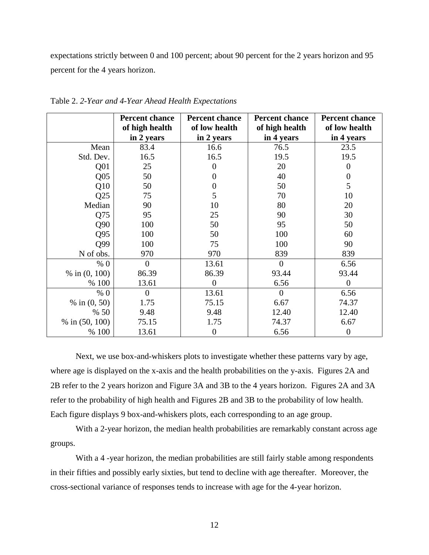expectations strictly between 0 and 100 percent; about 90 percent for the 2 years horizon and 95 percent for the 4 years horizon.

|                  | <b>Percent chance</b> | <b>Percent chance</b> | <b>Percent chance</b> | <b>Percent chance</b> |
|------------------|-----------------------|-----------------------|-----------------------|-----------------------|
|                  | of high health        | of low health         | of high health        | of low health         |
|                  | in 2 years            | in 2 years            | in 4 years            | in 4 years            |
| Mean             | 83.4                  | 16.6                  | 76.5                  | 23.5                  |
| Std. Dev.        | 16.5                  | 16.5                  | 19.5                  | 19.5                  |
| Q <sub>01</sub>  | 25                    | $\Omega$              | 20                    | $\overline{0}$        |
| Q <sub>05</sub>  | 50                    | $\Omega$              | 40                    | $\overline{0}$        |
| Q10              | 50                    | 0                     | 50                    | 5                     |
| Q25              | 75                    | 5                     | 70                    | 10                    |
| Median           | 90                    | 10                    | 80                    | 20                    |
| Q75              | 95                    | 25                    | 90                    | 30                    |
| Q90              | 100                   | 50                    | 95                    | 50                    |
| Q95              | 100                   | 50                    | 100                   | 60                    |
| Q99              | 100                   | 75                    | 100                   | 90                    |
| N of obs.        | 970                   | 970                   | 839                   | 839                   |
| % 0              | $\overline{0}$        | 13.61                 | $\theta$              | 6.56                  |
| % in $(0, 100)$  | 86.39                 | 86.39                 | 93.44                 | 93.44                 |
| % 100            | 13.61                 | 0                     | 6.56                  | $\theta$              |
| % 0              | $\overline{0}$        | 13.61                 | $\overline{0}$        | 6.56                  |
| % in $(0, 50)$   | 1.75                  | 75.15                 | 6.67                  | 74.37                 |
| % 50             | 9.48                  | 9.48                  | 12.40                 | 12.40                 |
| % in $(50, 100)$ | 75.15                 | 1.75                  | 74.37                 | 6.67                  |
| % 100            | 13.61                 | $\boldsymbol{0}$      | 6.56                  | $\overline{0}$        |

Table 2. *2-Year and 4-Year Ahead Health Expectations*

Next, we use box-and-whiskers plots to investigate whether these patterns vary by age, where age is displayed on the x-axis and the health probabilities on the y-axis. Figures 2A and 2B refer to the 2 years horizon and Figure 3A and 3B to the 4 years horizon. Figures 2A and 3A refer to the probability of high health and Figures 2B and 3B to the probability of low health. Each figure displays 9 box-and-whiskers plots, each corresponding to an age group.

With a 2-year horizon, the median health probabilities are remarkably constant across age groups.

With a 4-year horizon, the median probabilities are still fairly stable among respondents in their fifties and possibly early sixties, but tend to decline with age thereafter. Moreover, the cross-sectional variance of responses tends to increase with age for the 4-year horizon.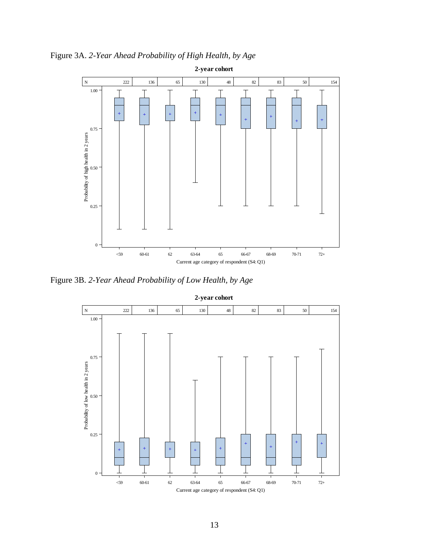

Figure 3A. *2-Year Ahead Probability of High Health, by Age*

Figure 3B. *2-Year Ahead Probability of Low Health, by Age*



**2-year cohort**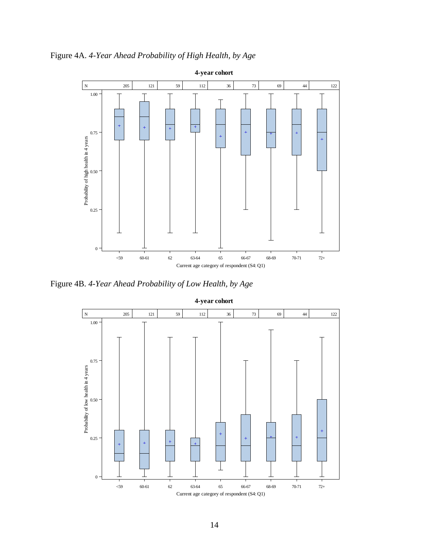Figure 4A. *4-Year Ahead Probability of High Health, by Age*



Figure 4B. *4-Year Ahead Probability of Low Health, by Age*



14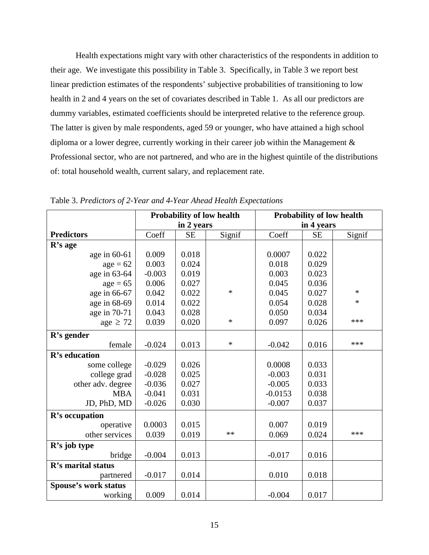Health expectations might vary with other characteristics of the respondents in addition to their age. We investigate this possibility in Table 3. Specifically, in Table 3 we report best linear prediction estimates of the respondents' subjective probabilities of transitioning to low health in 2 and 4 years on the set of covariates described in Table 1. As all our predictors are dummy variables, estimated coefficients should be interpreted relative to the reference group. The latter is given by male respondents, aged 59 or younger, who have attained a high school diploma or a lower degree, currently working in their career job within the Management & Professional sector, who are not partnered, and who are in the highest quintile of the distributions of: total household wealth, current salary, and replacement rate.

|                             | <b>Probability of low health</b> |            | <b>Probability of low health</b> |            |           |        |
|-----------------------------|----------------------------------|------------|----------------------------------|------------|-----------|--------|
|                             |                                  | in 2 years |                                  | in 4 years |           |        |
| <b>Predictors</b>           | Coeff                            | <b>SE</b>  | Signif                           | Coeff      | <b>SE</b> | Signif |
| R's age                     |                                  |            |                                  |            |           |        |
| age in $60-61$              | 0.009                            | 0.018      |                                  | 0.0007     | 0.022     |        |
| $age = 62$                  | 0.003                            | 0.024      |                                  | 0.018      | 0.029     |        |
| age in 63-64                | $-0.003$                         | 0.019      |                                  | 0.003      | 0.023     |        |
| $age = 65$                  | 0.006                            | 0.027      |                                  | 0.045      | 0.036     |        |
| age in 66-67                | 0.042                            | 0.022      | $\ast$                           | 0.045      | 0.027     | $\ast$ |
| age in 68-69                | 0.014                            | 0.022      |                                  | 0.054      | 0.028     | $\ast$ |
| age in 70-71                | 0.043                            | 0.028      |                                  | 0.050      | 0.034     |        |
| age $\geq$ 72               | 0.039                            | 0.020      | $\ast$                           | 0.097      | 0.026     | ***    |
| R's gender                  |                                  |            |                                  |            |           |        |
| female                      | $-0.024$                         | 0.013      | $\ast$                           | $-0.042$   | 0.016     | ***    |
| R's education               |                                  |            |                                  |            |           |        |
| some college                | $-0.029$                         | 0.026      |                                  | 0.0008     | 0.033     |        |
| college grad                | $-0.028$                         | 0.025      |                                  | $-0.003$   | 0.031     |        |
| other adv. degree           | $-0.036$                         | 0.027      |                                  | $-0.005$   | 0.033     |        |
| <b>MBA</b>                  | $-0.041$                         | 0.031      |                                  | $-0.0153$  | 0.038     |        |
| JD, PhD, MD                 | $-0.026$                         | 0.030      |                                  | $-0.007$   | 0.037     |        |
| R's occupation              |                                  |            |                                  |            |           |        |
| operative                   | 0.0003                           | 0.015      |                                  | 0.007      | 0.019     |        |
| other services              | 0.039                            | 0.019      | **                               | 0.069      | 0.024     | ***    |
| R's job type                |                                  |            |                                  |            |           |        |
| bridge                      | $-0.004$                         | 0.013      |                                  | $-0.017$   | 0.016     |        |
| R's marital status          |                                  |            |                                  |            |           |        |
| partnered                   | $-0.017$                         | 0.014      |                                  | 0.010      | 0.018     |        |
| <b>Spouse's work status</b> |                                  |            |                                  |            |           |        |
| working                     | 0.009                            | 0.014      |                                  | $-0.004$   | 0.017     |        |

Table 3. *Predictors of 2-Year and 4-Year Ahead Health Expectations*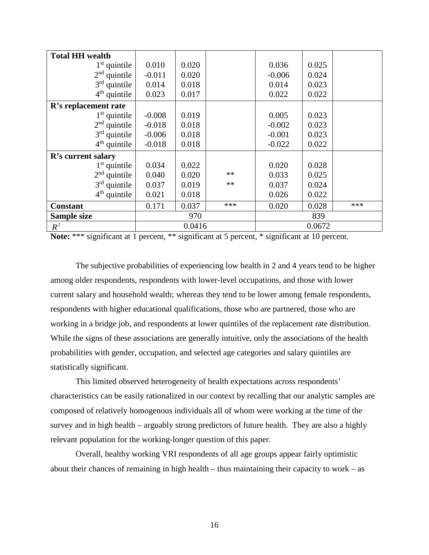| <b>Total HH wealth</b> |          |        |      |          |        |     |
|------------------------|----------|--------|------|----------|--------|-----|
| $1st$ quintile         | 0.010    | 0.020  |      | 0.036    | 0.025  |     |
| $2nd$ quintile         | $-0.011$ | 0.020  |      | $-0.006$ | 0.024  |     |
| $3rd$ quintile         | 0.014    | 0.018  |      | 0.014    | 0.023  |     |
| $4th$ quintile         | 0.023    | 0.017  |      | 0.022    | 0.022  |     |
| R's replacement rate   |          |        |      |          |        |     |
| $1st$ quintile         | $-0.008$ | 0.019  |      | 0.005    | 0.023  |     |
| $2nd$ quintile         | $-0.018$ | 0.018  |      | $-0.002$ | 0.023  |     |
| $3rd$ quintile         | $-0.006$ | 0.018  |      | $-0.001$ | 0.023  |     |
| $4th$ quintile         | $-0.018$ | 0.018  |      | $-0.022$ | 0.022  |     |
| R's current salary     |          |        |      |          |        |     |
| $1st$ quintile         | 0.034    | 0.022  |      | 0.020    | 0.028  |     |
| $2nd$ quintile         | 0.040    | 0.020  | $**$ | 0.033    | 0.025  |     |
| $3rd$ quintile         | 0.037    | 0.019  | $**$ | 0.037    | 0.024  |     |
| $4th$ quintile         | 0.021    | 0.018  |      | 0.026    | 0.022  |     |
| <b>Constant</b>        | 0.171    | 0.037  | ***  | 0.020    | 0.028  | *** |
| Sample size            |          | 970    |      |          | 839    |     |
| $R^2$                  |          | 0.0416 |      |          | 0.0672 |     |

Note: \*\*\* significant at 1 percent, \*\* significant at 5 percent, \* significant at 10 percent.

The subjective probabilities of experiencing low health in 2 and 4 years tend to be higher among older respondents, respondents with lower-level occupations, and those with lower current salary and household wealth; whereas they tend to be lower among female respondents, respondents with higher educational qualifications, those who are partnered, those who are working in a bridge job, and respondents at lower quintiles of the replacement rate distribution. While the signs of these associations are generally intuitive, only the associations of the health probabilities with gender, occupation, and selected age categories and salary quintiles are statistically significant.

This limited observed heterogeneity of health expectations across respondents' characteristics can be easily rationalized in our context by recalling that our analytic samples are composed of relatively homogenous individuals all of whom were working at the time of the survey and in high health – arguably strong predictors of future health. They are also a highly relevant population for the working-longer question of this paper.

Overall, healthy working VRI respondents of all age groups appear fairly optimistic about their chances of remaining in high health – thus maintaining their capacity to work – as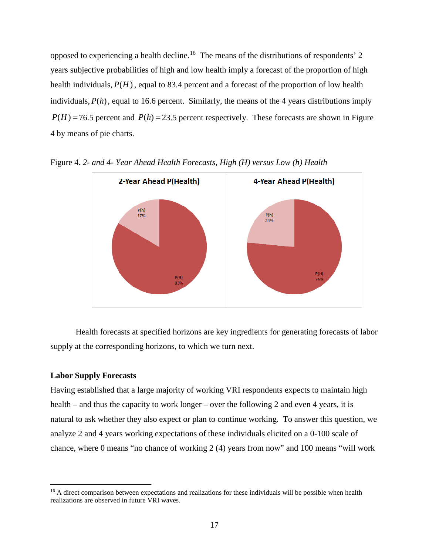opposed to experiencing a health decline.<sup>[16](#page-16-0)</sup> The means of the distributions of respondents' 2 years subjective probabilities of high and low health imply a forecast of the proportion of high health individuals,  $P(H)$ , equal to 83.4 percent and a forecast of the proportion of low health individuals,  $P(h)$ , equal to 16.6 percent. Similarly, the means of the 4 years distributions imply  $P(H) = 76.5$  percent and  $P(h) = 23.5$  percent respectively. These forecasts are shown in Figure 4 by means of pie charts.



Figure 4. *2- and 4- Year Ahead Health Forecasts, High (H) versus Low (h) Health*

Health forecasts at specified horizons are key ingredients for generating forecasts of labor supply at the corresponding horizons, to which we turn next.

### **Labor Supply Forecasts**

l

Having established that a large majority of working VRI respondents expects to maintain high health – and thus the capacity to work longer – over the following 2 and even 4 years, it is natural to ask whether they also expect or plan to continue working. To answer this question, we analyze 2 and 4 years working expectations of these individuals elicited on a 0-100 scale of chance, where 0 means "no chance of working 2 (4) years from now" and 100 means "will work

<span id="page-16-0"></span><sup>&</sup>lt;sup>16</sup> A direct comparison between expectations and realizations for these individuals will be possible when health realizations are observed in future VRI waves.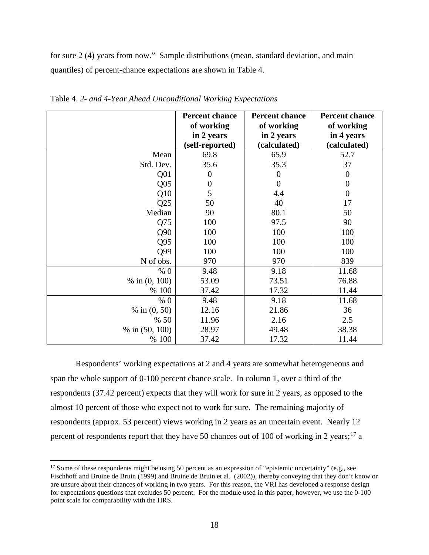for sure 2 (4) years from now." Sample distributions (mean, standard deviation, and main quantiles) of percent-chance expectations are shown in Table 4.

|                  | <b>Percent chance</b><br>of working<br>in 2 years<br>(self-reported) | <b>Percent chance</b><br>of working<br>in 2 years<br>(calculated) | <b>Percent chance</b><br>of working<br>in 4 years<br>(calculated) |
|------------------|----------------------------------------------------------------------|-------------------------------------------------------------------|-------------------------------------------------------------------|
| Mean             | 69.8                                                                 | 65.9                                                              | 52.7                                                              |
| Std. Dev.        | 35.6                                                                 | 35.3                                                              | 37                                                                |
| Q <sub>01</sub>  | $\overline{0}$                                                       | $\overline{0}$                                                    | $\boldsymbol{0}$                                                  |
| Q <sub>05</sub>  | $\boldsymbol{0}$                                                     | $\overline{0}$                                                    | $\boldsymbol{0}$                                                  |
| Q10              | 5                                                                    | 4.4                                                               | $\overline{0}$                                                    |
| Q25              | 50                                                                   | 40                                                                | 17                                                                |
| Median           | 90                                                                   | 80.1                                                              | 50                                                                |
| Q75              | 100                                                                  | 97.5                                                              | 90                                                                |
| Q90              | 100                                                                  | 100                                                               | 100                                                               |
| Q95              | 100                                                                  | 100                                                               | 100                                                               |
| Q99              | 100                                                                  | 100                                                               | 100                                                               |
| N of obs.        | 970                                                                  | 970                                                               | 839                                                               |
| % 0              | 9.48                                                                 | 9.18                                                              | 11.68                                                             |
| % in $(0, 100)$  | 53.09                                                                | 73.51                                                             | 76.88                                                             |
| % 100            | 37.42                                                                | 17.32                                                             | 11.44                                                             |
| % 0              | 9.48                                                                 | 9.18                                                              | 11.68                                                             |
| % in $(0, 50)$   | 12.16                                                                | 21.86                                                             | 36                                                                |
| % 50             | 11.96                                                                | 2.16                                                              | 2.5                                                               |
| % in $(50, 100)$ | 28.97                                                                | 49.48                                                             | 38.38                                                             |
| % 100            | 37.42                                                                | 17.32                                                             | 11.44                                                             |

Table 4. *2- and 4-Year Ahead Unconditional Working Expectations*

Respondents' working expectations at 2 and 4 years are somewhat heterogeneous and span the whole support of 0-100 percent chance scale. In column 1, over a third of the respondents (37.42 percent) expects that they will work for sure in 2 years, as opposed to the almost 10 percent of those who expect not to work for sure. The remaining majority of respondents (approx. 53 percent) views working in 2 years as an uncertain event. Nearly 12 percent of respondents report that they have 50 chances out of 100 of working in 2 years;<sup>[17](#page-17-0)</sup> a

 $\overline{\phantom{a}}$ 

<span id="page-17-0"></span><sup>&</sup>lt;sup>17</sup> Some of these respondents might be using 50 percent as an expression of "epistemic uncertainty" (e.g., see Fischhoff and Bruine de Bruin (1999) and Bruine de Bruin et al. (2002)), thereby conveying that they don't know or are unsure about their chances of working in two years. For this reason, the VRI has developed a response design for expectations questions that excludes 50 percent. For the module used in this paper, however, we use the 0-100 point scale for comparability with the HRS.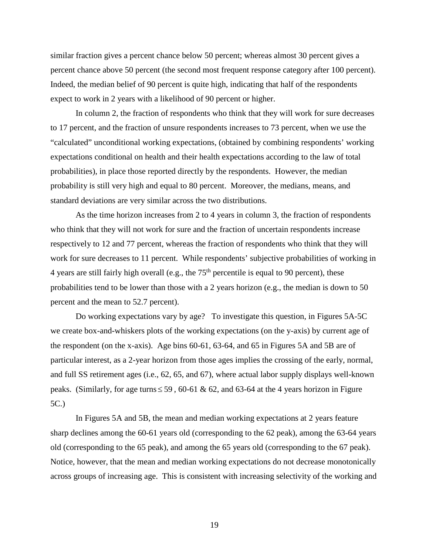similar fraction gives a percent chance below 50 percent; whereas almost 30 percent gives a percent chance above 50 percent (the second most frequent response category after 100 percent). Indeed, the median belief of 90 percent is quite high, indicating that half of the respondents expect to work in 2 years with a likelihood of 90 percent or higher.

In column 2, the fraction of respondents who think that they will work for sure decreases to 17 percent, and the fraction of unsure respondents increases to 73 percent, when we use the "calculated" unconditional working expectations, (obtained by combining respondents' working expectations conditional on health and their health expectations according to the law of total probabilities), in place those reported directly by the respondents. However, the median probability is still very high and equal to 80 percent. Moreover, the medians, means, and standard deviations are very similar across the two distributions.

As the time horizon increases from 2 to 4 years in column 3, the fraction of respondents who think that they will not work for sure and the fraction of uncertain respondents increase respectively to 12 and 77 percent, whereas the fraction of respondents who think that they will work for sure decreases to 11 percent. While respondents' subjective probabilities of working in 4 years are still fairly high overall (e.g., the  $75<sup>th</sup>$  percentile is equal to 90 percent), these probabilities tend to be lower than those with a 2 years horizon (e.g., the median is down to 50 percent and the mean to 52.7 percent).

Do working expectations vary by age? To investigate this question, in Figures 5A-5C we create box-and-whiskers plots of the working expectations (on the y-axis) by current age of the respondent (on the x-axis). Age bins 60-61, 63-64, and 65 in Figures 5A and 5B are of particular interest, as a 2-year horizon from those ages implies the crossing of the early, normal, and full SS retirement ages (i.e., 62, 65, and 67), where actual labor supply displays well-known peaks. (Similarly, for age turns  $\leq$  59, 60-61 & 62, and 63-64 at the 4 years horizon in Figure 5C.)

In Figures 5A and 5B, the mean and median working expectations at 2 years feature sharp declines among the 60-61 years old (corresponding to the 62 peak), among the 63-64 years old (corresponding to the 65 peak), and among the 65 years old (corresponding to the 67 peak). Notice, however, that the mean and median working expectations do not decrease monotonically across groups of increasing age. This is consistent with increasing selectivity of the working and

19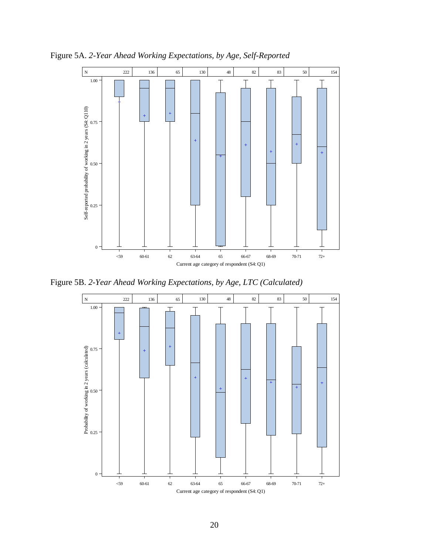

Figure 5A. *2-Year Ahead Working Expectations, by Age, Self-Reported*

Figure 5B. *2-Year Ahead Working Expectations, by Age, LTC (Calculated)*

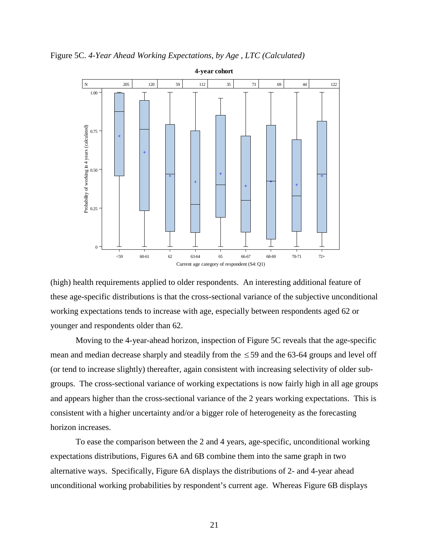Figure 5C. *4-Year Ahead Working Expectations, by Age , LTC (Calculated)*



(high) health requirements applied to older respondents. An interesting additional feature of these age-specific distributions is that the cross-sectional variance of the subjective unconditional working expectations tends to increase with age, especially between respondents aged 62 or younger and respondents older than 62.

Moving to the 4-year-ahead horizon, inspection of Figure 5C reveals that the age-specific mean and median decrease sharply and steadily from the  $\leq$  59 and the 63-64 groups and level off (or tend to increase slightly) thereafter, again consistent with increasing selectivity of older subgroups. The cross-sectional variance of working expectations is now fairly high in all age groups and appears higher than the cross-sectional variance of the 2 years working expectations. This is consistent with a higher uncertainty and/or a bigger role of heterogeneity as the forecasting horizon increases.

To ease the comparison between the 2 and 4 years, age-specific, unconditional working expectations distributions, Figures 6A and 6B combine them into the same graph in two alternative ways. Specifically, Figure 6A displays the distributions of 2- and 4-year ahead unconditional working probabilities by respondent's current age. Whereas Figure 6B displays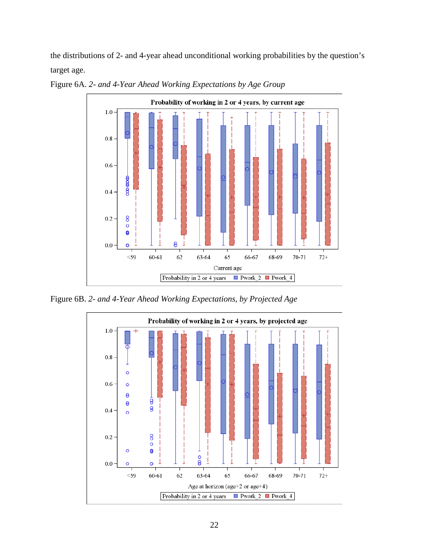the distributions of 2- and 4-year ahead unconditional working probabilities by the question's target age.



Figure 6A. *2- and 4-Year Ahead Working Expectations by Age Group* 

Figure 6B. *2- and 4-Year Ahead Working Expectations, by Projected Age*

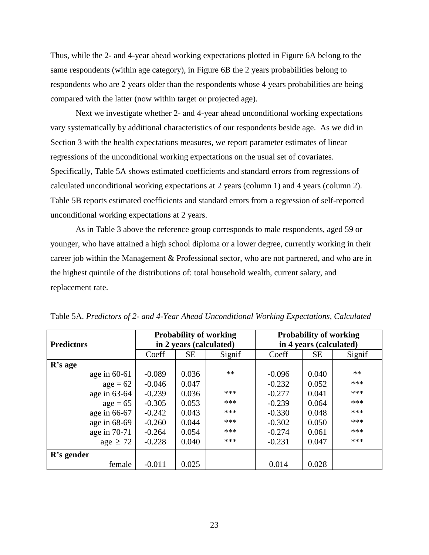Thus, while the 2- and 4-year ahead working expectations plotted in Figure 6A belong to the same respondents (within age category), in Figure 6B the 2 years probabilities belong to respondents who are 2 years older than the respondents whose 4 years probabilities are being compared with the latter (now within target or projected age).

Next we investigate whether 2- and 4-year ahead unconditional working expectations vary systematically by additional characteristics of our respondents beside age. As we did in Section 3 with the health expectations measures, we report parameter estimates of linear regressions of the unconditional working expectations on the usual set of covariates. Specifically, Table 5A shows estimated coefficients and standard errors from regressions of calculated unconditional working expectations at 2 years (column 1) and 4 years (column 2). Table 5B reports estimated coefficients and standard errors from a regression of self-reported unconditional working expectations at 2 years.

As in Table 3 above the reference group corresponds to male respondents, aged 59 or younger, who have attained a high school diploma or a lower degree, currently working in their career job within the Management & Professional sector, who are not partnered, and who are in the highest quintile of the distributions of: total household wealth, current salary, and replacement rate.

|                   | <b>Probability of working</b> |                         |        | <b>Probability of working</b> |           |        |
|-------------------|-------------------------------|-------------------------|--------|-------------------------------|-----------|--------|
| <b>Predictors</b> |                               | in 2 years (calculated) |        | in 4 years (calculated)       |           |        |
|                   | Coeff                         | <b>SE</b>               | Signif | Coeff                         | <b>SE</b> | Signif |
| R's age           |                               |                         |        |                               |           |        |
| age in $60-61$    | $-0.089$                      | 0.036                   | $**$   | $-0.096$                      | 0.040     | **     |
| $age = 62$        | $-0.046$                      | 0.047                   |        | $-0.232$                      | 0.052     | ***    |
| age in 63-64      | $-0.239$                      | 0.036                   | ***    | $-0.277$                      | 0.041     | ***    |
| $age = 65$        | $-0.305$                      | 0.053                   | ***    | $-0.239$                      | 0.064     | ***    |
| age in 66-67      | $-0.242$                      | 0.043                   | ***    | $-0.330$                      | 0.048     | ***    |
| age in 68-69      | $-0.260$                      | 0.044                   | ***    | $-0.302$                      | 0.050     | ***    |
| age in 70-71      | $-0.264$                      | 0.054                   | ***    | $-0.274$                      | 0.061     | ***    |
| age $\geq 72$     | $-0.228$                      | 0.040                   | ***    | $-0.231$                      | 0.047     | ***    |
| $R$ 's gender     |                               |                         |        |                               |           |        |
| female            | $-0.011$                      | 0.025                   |        | 0.014                         | 0.028     |        |

Table 5A. *Predictors of 2- and 4-Year Ahead Unconditional Working Expectations, Calculated*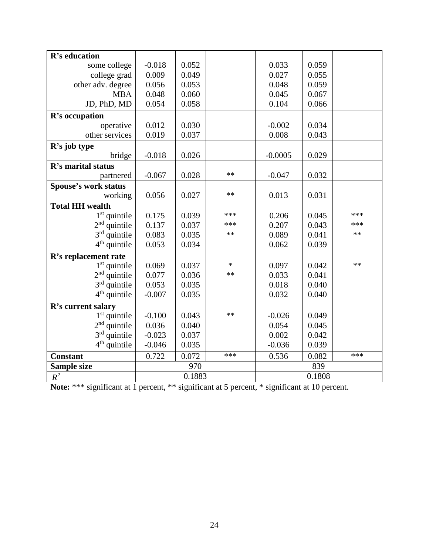| R's education               |          |        |        |           |        |      |
|-----------------------------|----------|--------|--------|-----------|--------|------|
| some college                | $-0.018$ | 0.052  |        | 0.033     | 0.059  |      |
| college grad                | 0.009    | 0.049  |        | 0.027     | 0.055  |      |
| other adv. degree           | 0.056    | 0.053  |        | 0.048     | 0.059  |      |
| <b>MBA</b>                  | 0.048    | 0.060  |        | 0.045     | 0.067  |      |
| JD, PhD, MD                 | 0.054    | 0.058  |        | 0.104     | 0.066  |      |
| R's occupation              |          |        |        |           |        |      |
| operative                   | 0.012    | 0.030  |        | $-0.002$  | 0.034  |      |
| other services              | 0.019    | 0.037  |        | 0.008     | 0.043  |      |
| R's job type                |          |        |        |           |        |      |
| bridge                      | $-0.018$ | 0.026  |        | $-0.0005$ | 0.029  |      |
| R's marital status          |          |        |        |           |        |      |
| partnered                   | $-0.067$ | 0.028  | $**$   | $-0.047$  | 0.032  |      |
| <b>Spouse's work status</b> |          |        |        |           |        |      |
| working                     | 0.056    | 0.027  | **     | 0.013     | 0.031  |      |
| <b>Total HH wealth</b>      |          |        |        |           |        |      |
| $1st$ quintile              | 0.175    | 0.039  | ***    | 0.206     | 0.045  | ***  |
| $2nd$ quintile              | 0.137    | 0.037  | ***    | 0.207     | 0.043  | ***  |
| $3rd$ quintile              | 0.083    | 0.035  | **     | 0.089     | 0.041  | $**$ |
| $4th$ quintile              | 0.053    | 0.034  |        | 0.062     | 0.039  |      |
| R's replacement rate        |          |        |        |           |        |      |
| $1st$ quintile              | 0.069    | 0.037  | $\ast$ | 0.097     | 0.042  | **   |
| $2nd$ quintile              | 0.077    | 0.036  | $**$   | 0.033     | 0.041  |      |
| $3rd$ quintile              | 0.053    | 0.035  |        | 0.018     | 0.040  |      |
| $4th$ quintile              | $-0.007$ | 0.035  |        | 0.032     | 0.040  |      |
| R's current salary          |          |        |        |           |        |      |
| $1st$ quintile              | $-0.100$ | 0.043  | **     | $-0.026$  | 0.049  |      |
| $2nd$ quintile              | 0.036    | 0.040  |        | 0.054     | 0.045  |      |
| $3rd$ quintile              | $-0.023$ | 0.037  |        | 0.002     | 0.042  |      |
| $4th$ quintile              | $-0.046$ | 0.035  |        | $-0.036$  | 0.039  |      |
| <b>Constant</b>             | 0.722    | 0.072  | ***    | 0.536     | 0.082  | ***  |
| Sample size                 |          | 970    |        | 839       |        |      |
| $R^2$                       |          | 0.1883 |        |           | 0.1808 |      |

**Note:** \*\*\* significant at 1 percent, \*\* significant at 5 percent, \* significant at 10 percent.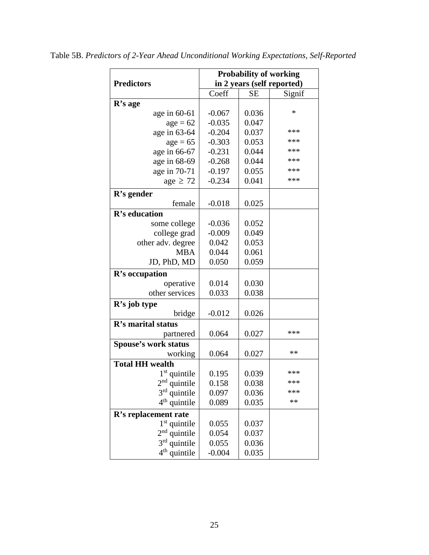|                             | <b>Probability of working</b> |           |            |  |  |
|-----------------------------|-------------------------------|-----------|------------|--|--|
| <b>Predictors</b>           | in 2 years (self reported)    |           |            |  |  |
|                             | Coeff                         | <b>SE</b> | Signif     |  |  |
| $R$ 's age                  |                               |           |            |  |  |
| age in $60-61$              | $-0.067$                      | 0.036     | $\ast$     |  |  |
| $age = 62$                  | $-0.035$                      | 0.047     |            |  |  |
| age in 63-64                | $-0.204$                      | 0.037     | ***        |  |  |
| $age = 65$                  | $-0.303$                      | 0.053     | ***        |  |  |
| age in 66-67                | $-0.231$                      | 0.044     | ***        |  |  |
| age in 68-69                | $-0.268$                      | 0.044     | ***        |  |  |
| age in 70-71                | $-0.197$                      | 0.055     | ***        |  |  |
| age $\geq 72$               | $-0.234$                      | 0.041     | ***        |  |  |
| R's gender                  |                               |           |            |  |  |
| female                      | $-0.018$                      | 0.025     |            |  |  |
| R's education               |                               |           |            |  |  |
| some college                | $-0.036$                      | 0.052     |            |  |  |
| college grad                | $-0.009$                      | 0.049     |            |  |  |
| other adv. degree           | 0.042                         | 0.053     |            |  |  |
| <b>MBA</b>                  | 0.044                         | 0.061     |            |  |  |
| JD, PhD, MD                 | 0.050                         | 0.059     |            |  |  |
| R's occupation              |                               |           |            |  |  |
| operative                   | 0.014                         | 0.030     |            |  |  |
| other services              | 0.033                         | 0.038     |            |  |  |
| R's job type                |                               |           |            |  |  |
| bridge                      | $-0.012$                      | 0.026     |            |  |  |
| R's marital status          |                               |           |            |  |  |
| partnered                   | 0.064                         | 0.027     | ***        |  |  |
| <b>Spouse's work status</b> |                               |           |            |  |  |
| working                     | 0.064                         | 0.027     | $\ast\ast$ |  |  |
| <b>Total HH wealth</b>      |                               |           |            |  |  |
| $1st$ quintile              | 0.195                         | 0.039     | ***        |  |  |
| $2nd$ quintile              | 0.158                         | 0.038     | ***        |  |  |
| $3rd$ quintile              | 0.097                         | 0.036     | ***        |  |  |
| $4th$ quintile              | 0.089                         | 0.035     | $\ast\ast$ |  |  |
| R's replacement rate        |                               |           |            |  |  |
| 1 <sup>st</sup> quintile    | 0.055                         | 0.037     |            |  |  |
| $2nd$ quintile              | 0.054                         | 0.037     |            |  |  |
| 3 <sup>rd</sup> quintile    | 0.055                         | 0.036     |            |  |  |
| $4th$ quintile              | $-0.004$                      | 0.035     |            |  |  |

Table 5B. *Predictors of 2-Year Ahead Unconditional Working Expectations, Self-Reported*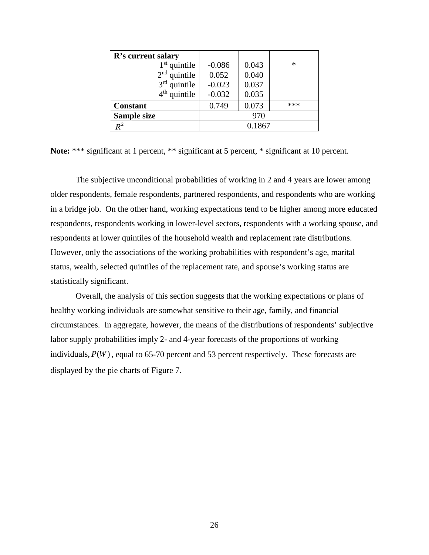| R's current salary |          |        |     |
|--------------------|----------|--------|-----|
| $1st$ quintile     | $-0.086$ | 0.043  | ∗   |
| $2nd$ quintile     | 0.052    | 0.040  |     |
| $3rd$ quintile     | $-0.023$ | 0.037  |     |
| $4th$ quintile     | $-0.032$ | 0.035  |     |
| <b>Constant</b>    | 0.749    | 0.073  | *** |
| Sample size        |          | 970    |     |
| $\boldsymbol{R}^2$ |          | 0.1867 |     |

Note: \*\*\* significant at 1 percent, \*\* significant at 5 percent, \* significant at 10 percent.

The subjective unconditional probabilities of working in 2 and 4 years are lower among older respondents, female respondents, partnered respondents, and respondents who are working in a bridge job. On the other hand, working expectations tend to be higher among more educated respondents, respondents working in lower-level sectors, respondents with a working spouse, and respondents at lower quintiles of the household wealth and replacement rate distributions. However, only the associations of the working probabilities with respondent's age, marital status, wealth, selected quintiles of the replacement rate, and spouse's working status are statistically significant.

Overall, the analysis of this section suggests that the working expectations or plans of healthy working individuals are somewhat sensitive to their age, family, and financial circumstances. In aggregate, however, the means of the distributions of respondents' subjective labor supply probabilities imply 2- and 4-year forecasts of the proportions of working individuals,  $P(W)$ , equal to 65-70 percent and 53 percent respectively. These forecasts are displayed by the pie charts of Figure 7.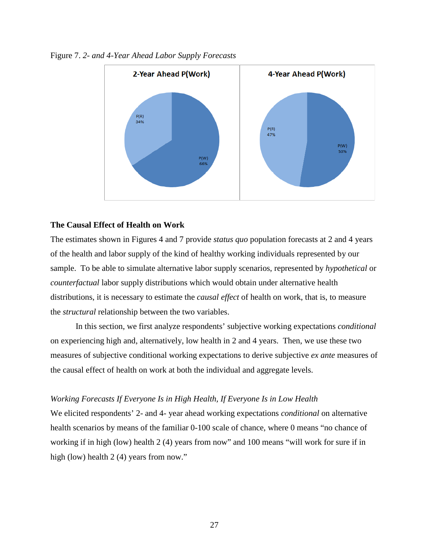

Figure 7. *2- and 4-Year Ahead Labor Supply Forecasts*

# **The Causal Effect of Health on Work**

The estimates shown in Figures 4 and 7 provide *status quo* population forecasts at 2 and 4 years of the health and labor supply of the kind of healthy working individuals represented by our sample. To be able to simulate alternative labor supply scenarios, represented by *hypothetical* or *counterfactual* labor supply distributions which would obtain under alternative health distributions, it is necessary to estimate the *causal effect* of health on work, that is, to measure the *structural* relationship between the two variables.

In this section, we first analyze respondents' subjective working expectations *conditional* on experiencing high and, alternatively, low health in 2 and 4 years. Then, we use these two measures of subjective conditional working expectations to derive subjective *ex ante* measures of the causal effect of health on work at both the individual and aggregate levels.

### *Working Forecasts If Everyone Is in High Health, If Everyone Is in Low Health*

We elicited respondents' 2- and 4- year ahead working expectations *conditional* on alternative health scenarios by means of the familiar 0-100 scale of chance, where 0 means "no chance of working if in high (low) health 2 (4) years from now" and 100 means "will work for sure if in high (low) health 2 (4) years from now."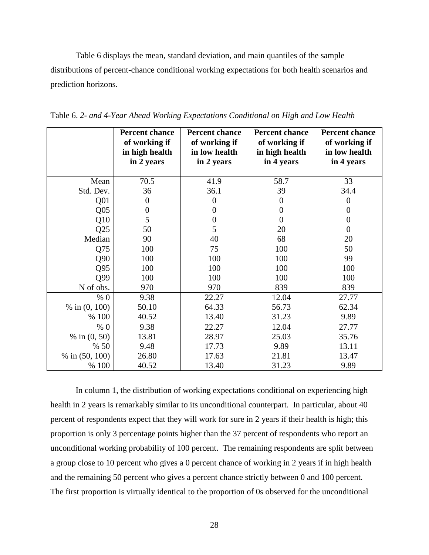Table 6 displays the mean, standard deviation, and main quantiles of the sample distributions of percent-chance conditional working expectations for both health scenarios and prediction horizons.

|                  | <b>Percent chance</b><br>of working if<br>in high health<br>in 2 years | <b>Percent chance</b><br>of working if<br>in low health<br>in 2 years | <b>Percent chance</b><br>of working if<br>in high health<br>in 4 years | <b>Percent chance</b><br>of working if<br>in low health<br>in 4 years |
|------------------|------------------------------------------------------------------------|-----------------------------------------------------------------------|------------------------------------------------------------------------|-----------------------------------------------------------------------|
| Mean             | 70.5                                                                   | 41.9                                                                  | 58.7                                                                   | 33                                                                    |
| Std. Dev.        | 36                                                                     | 36.1                                                                  | 39                                                                     | 34.4                                                                  |
| Q <sub>01</sub>  | $\theta$                                                               | $\overline{0}$                                                        | 0                                                                      | $\boldsymbol{0}$                                                      |
| Q <sub>05</sub>  | $\boldsymbol{0}$                                                       | $\overline{0}$                                                        | $\overline{0}$                                                         | $\boldsymbol{0}$                                                      |
| Q10              | 5                                                                      | $\boldsymbol{0}$                                                      | $\overline{0}$                                                         | $\boldsymbol{0}$                                                      |
| Q25              | 50                                                                     | 5                                                                     | 20                                                                     | $\boldsymbol{0}$                                                      |
| Median           | 90                                                                     | 40                                                                    | 68                                                                     | 20                                                                    |
| Q75              | 100                                                                    | 75                                                                    | 100                                                                    | 50                                                                    |
| Q90              | 100                                                                    | 100                                                                   | 100                                                                    | 99                                                                    |
| Q95              | 100                                                                    | 100                                                                   | 100                                                                    | 100                                                                   |
| Q99              | 100                                                                    | 100                                                                   | 100                                                                    | 100                                                                   |
| N of obs.        | 970                                                                    | 970                                                                   | 839                                                                    | 839                                                                   |
| % 0              | 9.38                                                                   | 22.27                                                                 | 12.04                                                                  | 27.77                                                                 |
| % in $(0, 100)$  | 50.10                                                                  | 64.33                                                                 | 56.73                                                                  | 62.34                                                                 |
| % 100            | 40.52                                                                  | 13.40                                                                 | 31.23                                                                  | 9.89                                                                  |
| % 0              | 9.38                                                                   | 22.27                                                                 | 12.04                                                                  | 27.77                                                                 |
| % in $(0, 50)$   | 13.81                                                                  | 28.97                                                                 | 25.03                                                                  | 35.76                                                                 |
| % 50             | 9.48                                                                   | 17.73                                                                 | 9.89                                                                   | 13.11                                                                 |
| % in $(50, 100)$ | 26.80                                                                  | 17.63                                                                 | 21.81                                                                  | 13.47                                                                 |
| % 100            | 40.52                                                                  | 13.40                                                                 | 31.23                                                                  | 9.89                                                                  |

Table 6. *2- and 4-Year Ahead Working Expectations Conditional on High and Low Health*

In column 1, the distribution of working expectations conditional on experiencing high health in 2 years is remarkably similar to its unconditional counterpart. In particular, about 40 percent of respondents expect that they will work for sure in 2 years if their health is high; this proportion is only 3 percentage points higher than the 37 percent of respondents who report an unconditional working probability of 100 percent. The remaining respondents are split between a group close to 10 percent who gives a 0 percent chance of working in 2 years if in high health and the remaining 50 percent who gives a percent chance strictly between 0 and 100 percent. The first proportion is virtually identical to the proportion of 0s observed for the unconditional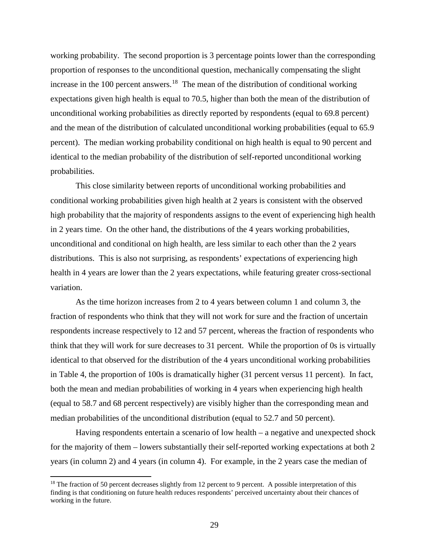working probability. The second proportion is 3 percentage points lower than the corresponding proportion of responses to the unconditional question, mechanically compensating the slight increase in the 100 percent answers.<sup>[18](#page-28-0)</sup> The mean of the distribution of conditional working expectations given high health is equal to 70.5, higher than both the mean of the distribution of unconditional working probabilities as directly reported by respondents (equal to 69.8 percent) and the mean of the distribution of calculated unconditional working probabilities (equal to 65.9 percent). The median working probability conditional on high health is equal to 90 percent and identical to the median probability of the distribution of self-reported unconditional working probabilities.

This close similarity between reports of unconditional working probabilities and conditional working probabilities given high health at 2 years is consistent with the observed high probability that the majority of respondents assigns to the event of experiencing high health in 2 years time. On the other hand, the distributions of the 4 years working probabilities, unconditional and conditional on high health, are less similar to each other than the 2 years distributions. This is also not surprising, as respondents' expectations of experiencing high health in 4 years are lower than the 2 years expectations, while featuring greater cross-sectional variation.

As the time horizon increases from 2 to 4 years between column 1 and column 3, the fraction of respondents who think that they will not work for sure and the fraction of uncertain respondents increase respectively to 12 and 57 percent, whereas the fraction of respondents who think that they will work for sure decreases to 31 percent. While the proportion of 0s is virtually identical to that observed for the distribution of the 4 years unconditional working probabilities in Table 4, the proportion of 100s is dramatically higher (31 percent versus 11 percent). In fact, both the mean and median probabilities of working in 4 years when experiencing high health (equal to 58.7 and 68 percent respectively) are visibly higher than the corresponding mean and median probabilities of the unconditional distribution (equal to 52.7 and 50 percent).

Having respondents entertain a scenario of low health – a negative and unexpected shock for the majority of them – lowers substantially their self-reported working expectations at both 2 years (in column 2) and 4 years (in column 4). For example, in the 2 years case the median of

 $\overline{\phantom{a}}$ 

<span id="page-28-0"></span><sup>&</sup>lt;sup>18</sup> The fraction of 50 percent decreases slightly from 12 percent to 9 percent. A possible interpretation of this finding is that conditioning on future health reduces respondents' perceived uncertainty about their chances of working in the future.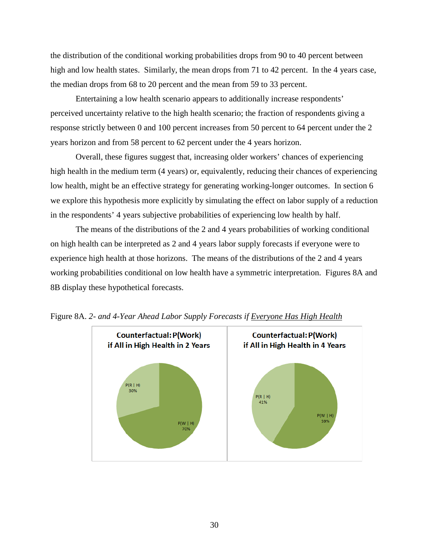the distribution of the conditional working probabilities drops from 90 to 40 percent between high and low health states. Similarly, the mean drops from 71 to 42 percent. In the 4 years case, the median drops from 68 to 20 percent and the mean from 59 to 33 percent.

Entertaining a low health scenario appears to additionally increase respondents' perceived uncertainty relative to the high health scenario; the fraction of respondents giving a response strictly between 0 and 100 percent increases from 50 percent to 64 percent under the 2 years horizon and from 58 percent to 62 percent under the 4 years horizon.

Overall, these figures suggest that, increasing older workers' chances of experiencing high health in the medium term (4 years) or, equivalently, reducing their chances of experiencing low health, might be an effective strategy for generating working-longer outcomes. In section 6 we explore this hypothesis more explicitly by simulating the effect on labor supply of a reduction in the respondents' 4 years subjective probabilities of experiencing low health by half.

The means of the distributions of the 2 and 4 years probabilities of working conditional on high health can be interpreted as 2 and 4 years labor supply forecasts if everyone were to experience high health at those horizons. The means of the distributions of the 2 and 4 years working probabilities conditional on low health have a symmetric interpretation. Figures 8A and 8B display these hypothetical forecasts.



Figure 8A. *2- and 4-Year Ahead Labor Supply Forecasts if Everyone Has High Health*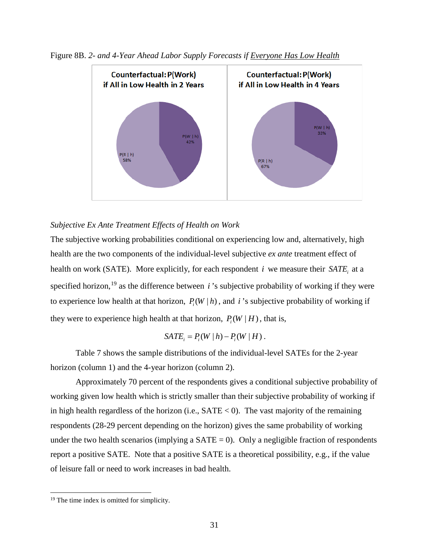

Figure 8B. *2- and 4-Year Ahead Labor Supply Forecasts if Everyone Has Low Health*

# *Subjective Ex Ante Treatment Effects of Health on Work*

The subjective working probabilities conditional on experiencing low and, alternatively, high health are the two components of the individual-level subjective *ex ante* treatment effect of health on work (SATE). More explicitly, for each respondent  $i$  we measure their *SATE*, at a specified horizon, [19](#page-30-0) as the difference between *i* 's subjective probability of working if they were to experience low health at that horizon,  $P_i(W | h)$ , and *i*'s subjective probability of working if they were to experience high health at that horizon,  $P_i(W | H)$ , that is,

$$
SATE_{i} = P_{i}(W | h) - P_{i}(W | H).
$$

Table 7 shows the sample distributions of the individual-level SATEs for the 2-year horizon (column 1) and the 4-year horizon (column 2).

Approximately 70 percent of the respondents gives a conditional subjective probability of working given low health which is strictly smaller than their subjective probability of working if in high health regardless of the horizon (i.e.,  $\text{SATE} < 0$ ). The vast majority of the remaining respondents (28-29 percent depending on the horizon) gives the same probability of working under the two health scenarios (implying a  $SATE = 0$ ). Only a negligible fraction of respondents report a positive SATE. Note that a positive SATE is a theoretical possibility, e.g., if the value of leisure fall or need to work increases in bad health.

l

<span id="page-30-0"></span><sup>&</sup>lt;sup>19</sup> The time index is omitted for simplicity.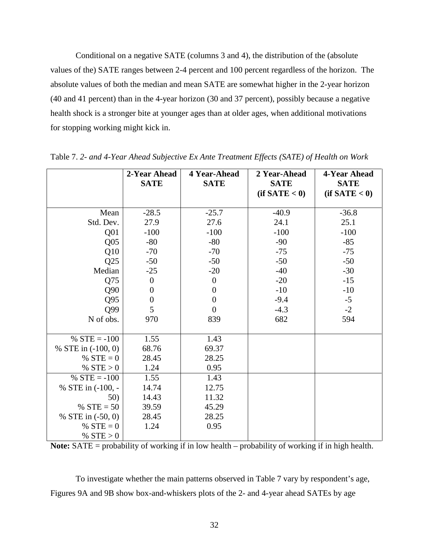Conditional on a negative SATE (columns 3 and 4), the distribution of the (absolute values of the) SATE ranges between 2-4 percent and 100 percent regardless of the horizon. The absolute values of both the median and mean SATE are somewhat higher in the 2-year horizon (40 and 41 percent) than in the 4-year horizon (30 and 37 percent), possibly because a negative health shock is a stronger bite at younger ages than at older ages, when additional motivations for stopping working might kick in.

|                     | 2-Year Ahead<br><b>SATE</b> | 4 Year-Ahead<br><b>SATE</b> | 2 Year-Ahead<br><b>SATE</b> | 4-Year Ahead<br><b>SATE</b> |
|---------------------|-----------------------------|-----------------------------|-----------------------------|-----------------------------|
|                     |                             |                             | (if SATE < 0)               | (if SATE < 0)               |
| Mean                | $-28.5$                     | $-25.7$                     | $-40.9$                     | $-36.8$                     |
| Std. Dev.           | 27.9                        | 27.6                        | 24.1                        | 25.1                        |
| Q <sub>01</sub>     | $-100$                      | $-100$                      | $-100$                      | $-100$                      |
| Q <sub>05</sub>     | $-80$                       | $-80$                       | $-90$                       | $-85$                       |
| Q10                 | $-70$                       | $-70$                       | $-75$                       | $-75$                       |
| Q25                 | $-50$                       | $-50$                       | $-50$                       | $-50$                       |
| Median              | $-25$                       | $-20$                       | $-40$                       | $-30$                       |
| Q75                 | $\boldsymbol{0}$            | $\boldsymbol{0}$            | $-20$                       | $-15$                       |
| Q90                 | $\boldsymbol{0}$            | $\boldsymbol{0}$            | $-10$                       | $-10$                       |
| Q95                 | $\boldsymbol{0}$            | $\overline{0}$              | $-9.4$                      | $-5$                        |
| Q99                 | 5                           | $\overline{0}$              | $-4.3$                      | $-2$                        |
| N of obs.           | 970                         | 839                         | 682                         | 594                         |
|                     |                             |                             |                             |                             |
| % $STE = -100$      | 1.55                        | 1.43                        |                             |                             |
| % STE in (-100, 0)  | 68.76                       | 69.37                       |                             |                             |
| % $STE = 0$         | 28.45                       | 28.25                       |                             |                             |
| % $STE > 0$         | 1.24                        | 0.95                        |                             |                             |
| % $STE = -100$      | 1.55                        | 1.43                        |                             |                             |
| % STE in $(-100, -$ | 14.74                       | 12.75                       |                             |                             |
| 50)                 | 14.43                       | 11.32                       |                             |                             |
| % $STE = 50$        | 39.59                       | 45.29                       |                             |                             |
| % STE in $(-50, 0)$ | 28.45                       | 28.25                       |                             |                             |
| % $STE = 0$         | 1.24                        | 0.95                        |                             |                             |
| % $STE > 0$         |                             |                             |                             |                             |

Table 7. *2- and 4-Year Ahead Subjective Ex Ante Treatment Effects (SATE) of Health on Work*

**Note:** SATE = probability of working if in low health – probability of working if in high health.

To investigate whether the main patterns observed in Table 7 vary by respondent's age, Figures 9A and 9B show box-and-whiskers plots of the 2- and 4-year ahead SATEs by age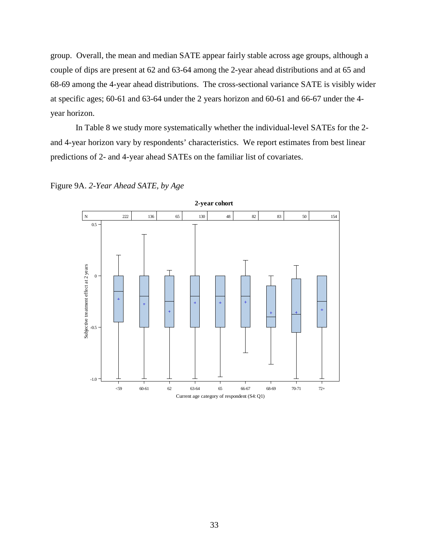group. Overall, the mean and median SATE appear fairly stable across age groups, although a couple of dips are present at 62 and 63-64 among the 2-year ahead distributions and at 65 and 68-69 among the 4-year ahead distributions. The cross-sectional variance SATE is visibly wider at specific ages; 60-61 and 63-64 under the 2 years horizon and 60-61 and 66-67 under the 4 year horizon.

In Table 8 we study more systematically whether the individual-level SATEs for the 2 and 4-year horizon vary by respondents' characteristics. We report estimates from best linear predictions of 2- and 4-year ahead SATEs on the familiar list of covariates.



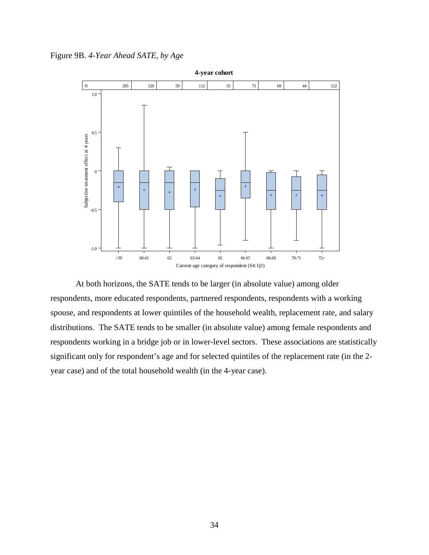Figure 9B. *4-Year Ahead SATE, by Age* 



At both horizons, the SATE tends to be larger (in absolute value) among older respondents, more educated respondents, partnered respondents, respondents with a working spouse, and respondents at lower quintiles of the household wealth, replacement rate, and salary distributions. The SATE tends to be smaller (in absolute value) among female respondents and respondents working in a bridge job or in lower-level sectors. These associations are statistically significant only for respondent's age and for selected quintiles of the replacement rate (in the 2 year case) and of the total household wealth (in the 4-year case).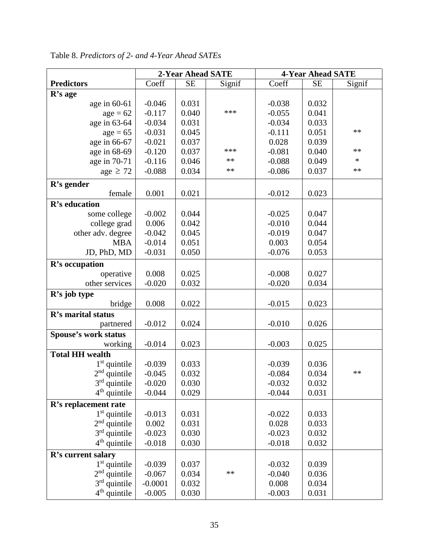|                             | 2-Year Ahead SATE |           | <b>4-Year Ahead SATE</b> |          |           |        |
|-----------------------------|-------------------|-----------|--------------------------|----------|-----------|--------|
| <b>Predictors</b>           | Coeff             | <b>SE</b> | Signif                   | Coeff    | <b>SE</b> | Signif |
| R's age                     |                   |           |                          |          |           |        |
| age in $60-61$              | $-0.046$          | 0.031     |                          | $-0.038$ | 0.032     |        |
| $age = 62$                  | $-0.117$          | 0.040     | ***                      | $-0.055$ | 0.041     |        |
| age in 63-64                | $-0.034$          | 0.031     |                          | $-0.034$ | 0.033     |        |
| $age = 65$                  | $-0.031$          | 0.045     |                          | $-0.111$ | 0.051     | **     |
| age in 66-67                | $-0.021$          | 0.037     |                          | 0.028    | 0.039     |        |
| age in 68-69                | $-0.120$          | 0.037     | ***                      | $-0.081$ | 0.040     | **     |
| age in 70-71                | $-0.116$          | 0.046     | **                       | $-0.088$ | 0.049     | $\ast$ |
| age $\geq 72$               | $-0.088$          | 0.034     | $***$                    | $-0.086$ | 0.037     | $**$   |
| R's gender                  |                   |           |                          |          |           |        |
| female                      | 0.001             | 0.021     |                          | $-0.012$ | 0.023     |        |
| R's education               |                   |           |                          |          |           |        |
| some college                | $-0.002$          | 0.044     |                          | $-0.025$ | 0.047     |        |
| college grad                | 0.006             | 0.042     |                          | $-0.010$ | 0.044     |        |
| other adv. degree           | $-0.042$          | 0.045     |                          | $-0.019$ | 0.047     |        |
| <b>MBA</b>                  | $-0.014$          | 0.051     |                          | 0.003    | 0.054     |        |
| JD, PhD, MD                 | $-0.031$          | 0.050     |                          | $-0.076$ | 0.053     |        |
| R's occupation              |                   |           |                          |          |           |        |
| operative                   | 0.008             | 0.025     |                          | $-0.008$ | 0.027     |        |
| other services              | $-0.020$          | 0.032     |                          | $-0.020$ | 0.034     |        |
| R's job type                |                   |           |                          |          |           |        |
| bridge                      | 0.008             | 0.022     |                          | $-0.015$ | 0.023     |        |
| R's marital status          |                   |           |                          |          |           |        |
| partnered                   | $-0.012$          | 0.024     |                          | $-0.010$ | 0.026     |        |
| <b>Spouse's work status</b> |                   |           |                          |          |           |        |
| working                     | $-0.014$          | 0.023     |                          | $-0.003$ | 0.025     |        |
| <b>Total HH wealth</b>      |                   |           |                          |          |           |        |
| $1st$ quintile              | $-0.039$          | 0.033     |                          | $-0.039$ | 0.036     |        |
| $2nd$ quintile              | $-0.045$          | 0.032     |                          | $-0.084$ | 0.034     | **     |
| $3rd$ quintile              | $-0.020$          | 0.030     |                          | $-0.032$ | 0.032     |        |
| $4th$ quintile              | $-0.044$          | 0.029     |                          | $-0.044$ | 0.031     |        |
| R's replacement rate        |                   |           |                          |          |           |        |
| $1st$ quintile              | $-0.013$          | 0.031     |                          | $-0.022$ | 0.033     |        |
| $2nd$ quintile              | 0.002             | 0.031     |                          | 0.028    | 0.033     |        |
| $3rd$ quintile              | $-0.023$          | 0.030     |                          | $-0.023$ | 0.032     |        |
| $4th$ quintile              | $-0.018$          | 0.030     |                          | $-0.018$ | 0.032     |        |
| R's current salary          |                   |           |                          |          |           |        |
| $1st$ quintile              | $-0.039$          | 0.037     |                          | $-0.032$ | 0.039     |        |
| $2nd$ quintile              | $-0.067$          | 0.034     | $**$                     | $-0.040$ | 0.036     |        |
| $3rd$ quintile              | $-0.0001$         | 0.032     |                          | 0.008    | 0.034     |        |
| $4th$ quintile              | $-0.005$          | 0.030     |                          | $-0.003$ | 0.031     |        |

Table 8. *Predictors of 2- and 4-Year Ahead SATEs*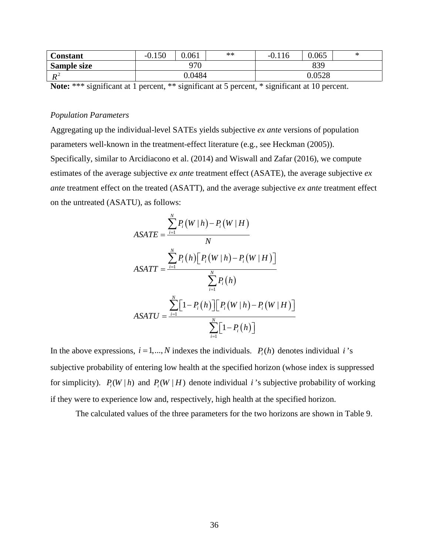| Constant           | $-0.150$ | 0.061  | ** | 116<br>$-0.1$ | 0.065  | ж |
|--------------------|----------|--------|----|---------------|--------|---|
| <b>Sample size</b> | 970      |        |    | 839           |        |   |
| $\mathbf{L}$<br>11 |          | 0.0484 |    |               | 0.0528 |   |

**Note:** \*\*\* significant at 1 percent, \*\* significant at 5 percent, \* significant at 10 percent.

### *Population Parameters*

Aggregating up the individual-level SATEs yields subjective *ex ante* versions of population parameters well-known in the treatment-effect literature (e.g., see Heckman (2005)). Specifically, similar to Arcidiacono et al. (2014) and Wiswall and Zafar (2016), we compute estimates of the average subjective *ex ante* treatment effect (ASATE), the average subjective *ex ante* treatment effect on the treated (ASATT), and the average subjective *ex ante* treatment effect on the untreated (ASATU), as follows:

$$
ASATE = \frac{\sum_{i=1}^{N} P_i(W|h) - P_i(W|H)}{N}
$$

$$
ASATT = \frac{\sum_{i=1}^{N} P_i(h) [P_i(W|h) - P_i(W|H)]}{\sum_{i=1}^{N} P_i(h)}
$$

$$
ASATU = \frac{\sum_{i=1}^{N} [1 - P_i(h)] [P_i(W|h) - P_i(W|H)]}{\sum_{i=1}^{N} [1 - P_i(h)]}
$$

In the above expressions,  $i = 1, ..., N$  indexes the individuals.  $P_i(h)$  denotes individual *i*'s subjective probability of entering low health at the specified horizon (whose index is suppressed for simplicity).  $P_i(W | h)$  and  $P_i(W | H)$  denote individual *i*'s subjective probability of working if they were to experience low and, respectively, high health at the specified horizon.

The calculated values of the three parameters for the two horizons are shown in Table 9.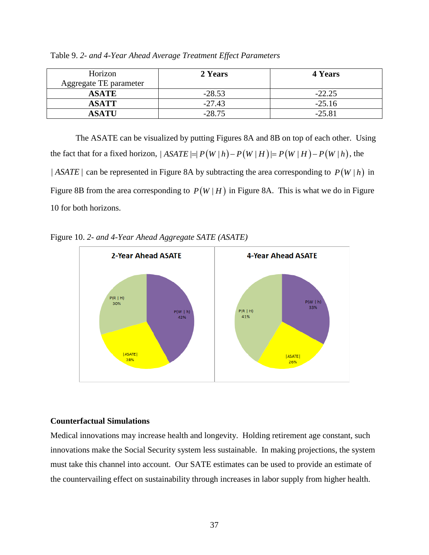| Horizon<br>Aggregate TE parameter | 2 Years  | <b>4 Years</b> |
|-----------------------------------|----------|----------------|
| <b>ASATE</b>                      | $-28.53$ | $-22.25$       |
| <b>ASATT</b>                      | $-27.43$ | $-25.16$       |
| <b>ASATU</b>                      | $-28.75$ | $-25.81$       |

Table 9. *2- and 4-Year Ahead Average Treatment Effect Parameters*

The ASATE can be visualized by putting Figures 8A and 8B on top of each other. Using the fact that for a fixed horizon,  $|ASATE| = |P(W|h) - P(W|H)| = P(W|H) - P(W|h)$ , the | *ASATE* | can be represented in Figure 8A by subtracting the area corresponding to  $P(W|h)$  in Figure 8B from the area corresponding to  $P(W | H)$  in Figure 8A. This is what we do in Figure 10 for both horizons.





## **Counterfactual Simulations**

Medical innovations may increase health and longevity. Holding retirement age constant, such innovations make the Social Security system less sustainable. In making projections, the system must take this channel into account. Our SATE estimates can be used to provide an estimate of the countervailing effect on sustainability through increases in labor supply from higher health.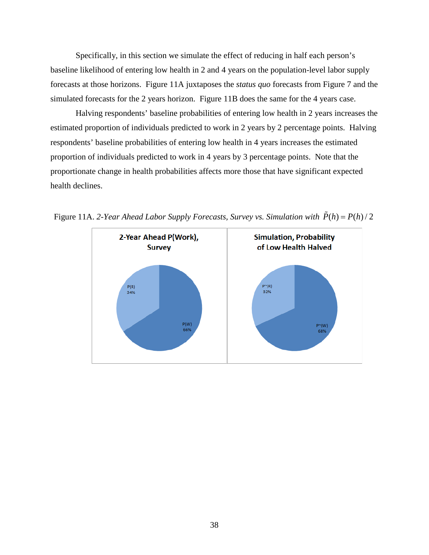Specifically, in this section we simulate the effect of reducing in half each person's baseline likelihood of entering low health in 2 and 4 years on the population-level labor supply forecasts at those horizons. Figure 11A juxtaposes the *status quo* forecasts from Figure 7 and the simulated forecasts for the 2 years horizon. Figure 11B does the same for the 4 years case.

Halving respondents' baseline probabilities of entering low health in 2 years increases the estimated proportion of individuals predicted to work in 2 years by 2 percentage points. Halving respondents' baseline probabilities of entering low health in 4 years increases the estimated proportion of individuals predicted to work in 4 years by 3 percentage points. Note that the proportionate change in health probabilities affects more those that have significant expected health declines.



Figure 11A. 2-Year Ahead Labor Supply Forecasts, Survey vs. Simulation with  $\tilde{P}(h) = P(h)/2$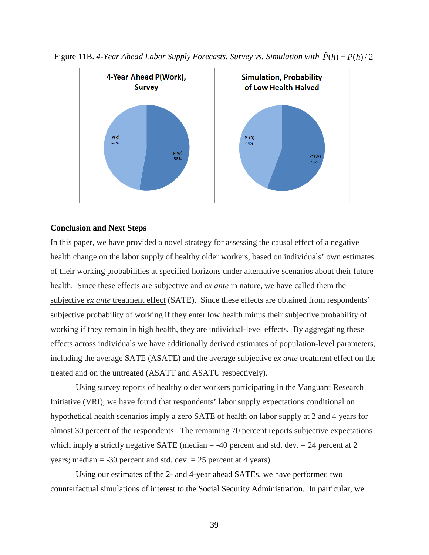

Figure 11B. 4-Year Ahead Labor Supply Forecasts, Survey *vs. Simulation with*  $\tilde{P}(h) = P(h)/2$ 

### **Conclusion and Next Steps**

In this paper, we have provided a novel strategy for assessing the causal effect of a negative health change on the labor supply of healthy older workers, based on individuals' own estimates of their working probabilities at specified horizons under alternative scenarios about their future health. Since these effects are subjective and *ex ante* in nature, we have called them the subjective *ex ante* treatment effect (SATE). Since these effects are obtained from respondents' subjective probability of working if they enter low health minus their subjective probability of working if they remain in high health, they are individual-level effects. By aggregating these effects across individuals we have additionally derived estimates of population-level parameters, including the average SATE (ASATE) and the average subjective *ex ante* treatment effect on the treated and on the untreated (ASATT and ASATU respectively).

Using survey reports of healthy older workers participating in the Vanguard Research Initiative (VRI), we have found that respondents' labor supply expectations conditional on hypothetical health scenarios imply a zero SATE of health on labor supply at 2 and 4 years for almost 30 percent of the respondents. The remaining 70 percent reports subjective expectations which imply a strictly negative SATE (median  $=$  -40 percent and std. dev.  $=$  24 percent at 2 years; median  $=$  -30 percent and std. dev.  $=$  25 percent at 4 years).

Using our estimates of the 2- and 4-year ahead SATEs, we have performed two counterfactual simulations of interest to the Social Security Administration. In particular, we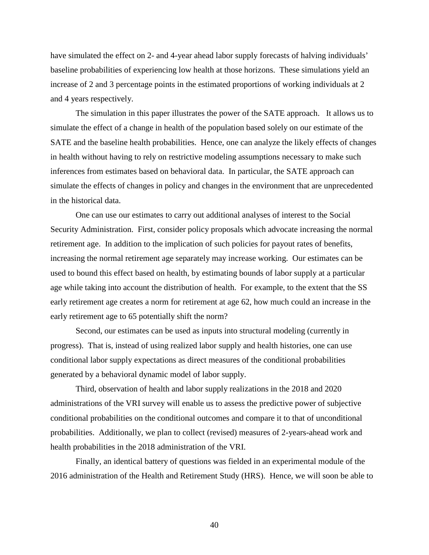have simulated the effect on 2- and 4-year ahead labor supply forecasts of halving individuals' baseline probabilities of experiencing low health at those horizons. These simulations yield an increase of 2 and 3 percentage points in the estimated proportions of working individuals at 2 and 4 years respectively.

The simulation in this paper illustrates the power of the SATE approach. It allows us to simulate the effect of a change in health of the population based solely on our estimate of the SATE and the baseline health probabilities. Hence, one can analyze the likely effects of changes in health without having to rely on restrictive modeling assumptions necessary to make such inferences from estimates based on behavioral data. In particular, the SATE approach can simulate the effects of changes in policy and changes in the environment that are unprecedented in the historical data.

One can use our estimates to carry out additional analyses of interest to the Social Security Administration. First, consider policy proposals which advocate increasing the normal retirement age. In addition to the implication of such policies for payout rates of benefits, increasing the normal retirement age separately may increase working. Our estimates can be used to bound this effect based on health, by estimating bounds of labor supply at a particular age while taking into account the distribution of health. For example, to the extent that the SS early retirement age creates a norm for retirement at age 62, how much could an increase in the early retirement age to 65 potentially shift the norm?

Second, our estimates can be used as inputs into structural modeling (currently in progress). That is, instead of using realized labor supply and health histories, one can use conditional labor supply expectations as direct measures of the conditional probabilities generated by a behavioral dynamic model of labor supply.

Third, observation of health and labor supply realizations in the 2018 and 2020 administrations of the VRI survey will enable us to assess the predictive power of subjective conditional probabilities on the conditional outcomes and compare it to that of unconditional probabilities. Additionally, we plan to collect (revised) measures of 2-years-ahead work and health probabilities in the 2018 administration of the VRI.

Finally, an identical battery of questions was fielded in an experimental module of the 2016 administration of the Health and Retirement Study (HRS). Hence, we will soon be able to

40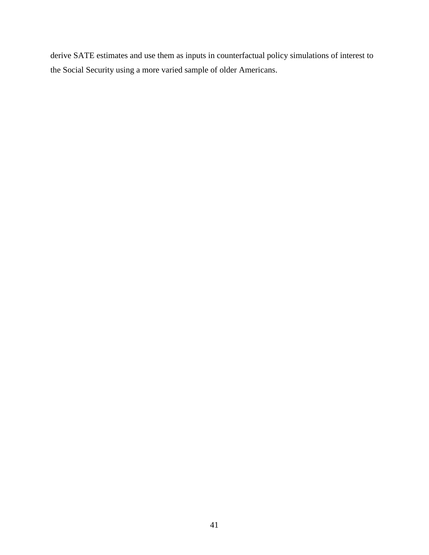derive SATE estimates and use them as inputs in counterfactual policy simulations of interest to the Social Security using a more varied sample of older Americans.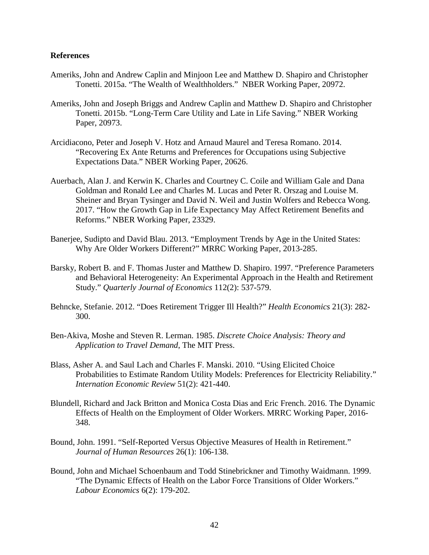### **References**

- Ameriks, John and Andrew Caplin and Minjoon Lee and Matthew D. Shapiro and Christopher Tonetti. 2015a. "The Wealth of Wealthholders." NBER Working Paper, 20972.
- Ameriks, John and Joseph Briggs and Andrew Caplin and Matthew D. Shapiro and Christopher Tonetti. 2015b. "Long-Term Care Utility and Late in Life Saving." NBER Working Paper, 20973.
- Arcidiacono, Peter and Joseph V. Hotz and Arnaud Maurel and Teresa Romano. 2014. "Recovering Ex Ante Returns and Preferences for Occupations using Subjective Expectations Data." NBER Working Paper, 20626.
- Auerbach, Alan J. and Kerwin K. Charles and Courtney C. Coile and William Gale and Dana Goldman and Ronald Lee and Charles M. Lucas and Peter R. Orszag and Louise M. Sheiner and Bryan Tysinger and David N. Weil and Justin Wolfers and Rebecca Wong. 2017. "How the Growth Gap in Life Expectancy May Affect Retirement Benefits and Reforms." NBER Working Paper, 23329.
- Banerjee, Sudipto and David Blau. 2013. "Employment Trends by Age in the United States: Why Are Older Workers Different?" MRRC Working Paper, 2013-285.
- Barsky, Robert B. and F. Thomas Juster and Matthew D. Shapiro. 1997. "Preference Parameters and Behavioral Heterogeneity: An Experimental Approach in the Health and Retirement Study." *Quarterly Journal of Economics* 112(2): 537-579.
- Behncke, Stefanie. 2012. "Does Retirement Trigger Ill Health?" *Health Economics* 21(3): 282- 300.
- Ben-Akiva, Moshe and Steven R. Lerman. 1985. *Discrete Choice Analysis: Theory and Application to Travel Demand*, The MIT Press.
- Blass, Asher A. and Saul Lach and Charles F. Manski. 2010. "Using Elicited Choice Probabilities to Estimate Random Utility Models: Preferences for Electricity Reliability." *Internation Economic Review* 51(2): 421-440.
- Blundell, Richard and Jack Britton and Monica Costa Dias and Eric French. 2016. The Dynamic Effects of Health on the Employment of Older Workers. MRRC Working Paper, 2016- 348.
- Bound, John. 1991. "Self-Reported Versus Objective Measures of Health in Retirement." *Journal of Human Resources* 26(1): 106-138.
- Bound, John and Michael Schoenbaum and Todd Stinebrickner and Timothy Waidmann. 1999. "The Dynamic Effects of Health on the Labor Force Transitions of Older Workers." *Labour Economics* 6(2): 179-202.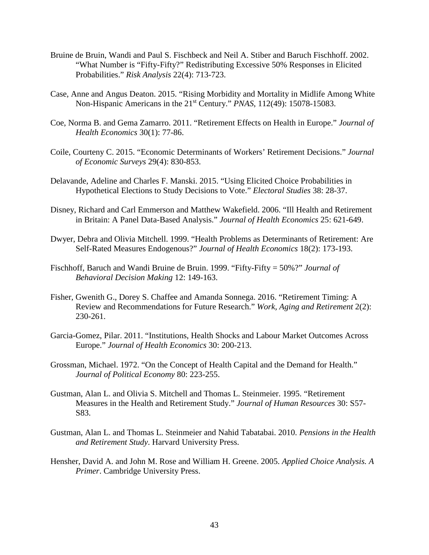- Bruine de Bruin, Wandi and Paul S. Fischbeck and Neil A. Stiber and Baruch Fischhoff. 2002. "What Number is "Fifty-Fifty?" Redistributing Excessive 50% Responses in Elicited Probabilities." *Risk Analysis* 22(4): 713-723.
- Case, Anne and Angus Deaton. 2015. "Rising Morbidity and Mortality in Midlife Among White Non-Hispanic Americans in the 21<sup>st</sup> Century." *PNAS*, 112(49): 15078-15083.
- Coe, Norma B. and Gema Zamarro. 2011. "Retirement Effects on Health in Europe." *Journal of Health Economics* 30(1): 77-86.
- Coile, Courteny C. 2015. "Economic Determinants of Workers' Retirement Decisions." *Journal of Economic Surveys* 29(4): 830-853.
- Delavande, Adeline and Charles F. Manski. 2015. "Using Elicited Choice Probabilities in Hypothetical Elections to Study Decisions to Vote." *Electoral Studies* 38: 28-37.
- Disney, Richard and Carl Emmerson and Matthew Wakefield. 2006. "Ill Health and Retirement in Britain: A Panel Data-Based Analysis." *Journal of Health Economics* 25: 621-649.
- Dwyer, Debra and Olivia Mitchell. 1999. "Health Problems as Determinants of Retirement: Are Self-Rated Measures Endogenous?" *Journal of Health Economics* 18(2): 173-193.
- Fischhoff, Baruch and Wandi Bruine de Bruin. 1999. "Fifty-Fifty = 50%?" *Journal of Behavioral Decision Making* 12: 149-163.
- Fisher, Gwenith G., Dorey S. Chaffee and Amanda Sonnega. 2016. "Retirement Timing: A Review and Recommendations for Future Research." *Work, Aging and Retirement* 2(2): 230-261.
- Garcia-Gomez, Pilar. 2011. "Institutions, Health Shocks and Labour Market Outcomes Across Europe." *Journal of Health Economics* 30: 200-213.
- Grossman, Michael. 1972. "On the Concept of Health Capital and the Demand for Health." *Journal of Political Economy* 80: 223-255.
- Gustman, Alan L. and Olivia S. Mitchell and Thomas L. Steinmeier. 1995. "Retirement Measures in the Health and Retirement Study." *Journal of Human Resources* 30: S57- S83.
- Gustman, Alan L. and Thomas L. Steinmeier and Nahid Tabatabai. 2010. *Pensions in the Health and Retirement Study*. Harvard University Press.
- Hensher, David A. and John M. Rose and William H. Greene. 2005. *Applied Choice Analysis. A Primer*. Cambridge University Press.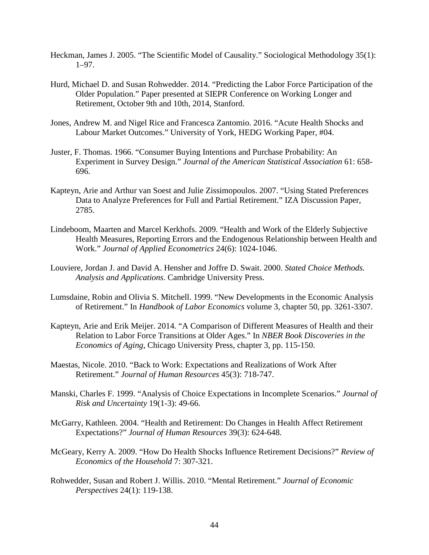- Heckman, James J. 2005. "The Scientific Model of Causality." Sociological Methodology 35(1): 1–97.
- Hurd, Michael D. and Susan Rohwedder. 2014. "Predicting the Labor Force Participation of the Older Population." Paper presented at SIEPR Conference on Working Longer and Retirement, October 9th and 10th, 2014, Stanford.
- Jones, Andrew M. and Nigel Rice and Francesca Zantomio. 2016. "Acute Health Shocks and Labour Market Outcomes." University of York, HEDG Working Paper, #04.
- Juster, F. Thomas. 1966. "Consumer Buying Intentions and Purchase Probability: An Experiment in Survey Design." *Journal of the American Statistical Association* 61: 658- 696.
- Kapteyn, Arie and Arthur van Soest and Julie Zissimopoulos. 2007. "Using Stated Preferences Data to Analyze Preferences for Full and Partial Retirement." IZA Discussion Paper, 2785.
- Lindeboom, Maarten and Marcel Kerkhofs. 2009. "Health and Work of the Elderly Subjective Health Measures, Reporting Errors and the Endogenous Relationship between Health and Work." *Journal of Applied Econometrics* 24(6): 1024-1046.
- Louviere, Jordan J. and David A. Hensher and Joffre D. Swait. 2000. *Stated Choice Methods. Analysis and Applications*. Cambridge University Press.
- Lumsdaine, Robin and Olivia S. Mitchell. 1999. "New Developments in the Economic Analysis of Retirement." In *Handbook of Labor Economics* volume 3, chapter 50, pp. 3261-3307.
- Kapteyn, Arie and Erik Meijer. 2014. "A Comparison of Different Measures of Health and their Relation to Labor Force Transitions at Older Ages." In *NBER Book Discoveries in the Economics of Aging*, Chicago University Press, chapter 3, pp. 115-150.
- Maestas, Nicole. 2010. "Back to Work: Expectations and Realizations of Work After Retirement." *Journal of Human Resources* 45(3): 718-747.
- Manski, Charles F. 1999. "Analysis of Choice Expectations in Incomplete Scenarios." *Journal of Risk and Uncertainty* 19(1-3): 49-66.
- McGarry, Kathleen. 2004. "Health and Retirement: Do Changes in Health Affect Retirement Expectations?" *Journal of Human Resources* 39(3): 624-648.
- McGeary, Kerry A. 2009. "How Do Health Shocks Influence Retirement Decisions?" *Review of Economics of the Household* 7: 307-321.
- Rohwedder, Susan and Robert J. Willis. 2010. "Mental Retirement." *Journal of Economic Perspectives* 24(1): 119-138.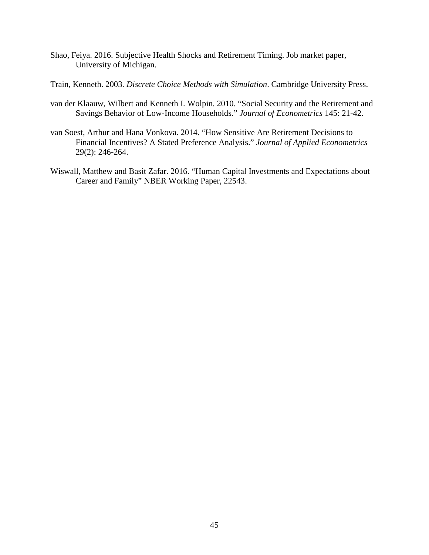- Shao, Feiya. 2016. Subjective Health Shocks and Retirement Timing. Job market paper, University of Michigan.
- Train, Kenneth. 2003. *Discrete Choice Methods with Simulation*. Cambridge University Press.
- van der Klaauw, Wilbert and Kenneth I. Wolpin. 2010. "Social Security and the Retirement and Savings Behavior of Low-Income Households." *Journal of Econometrics* 145: 21-42.
- van Soest, Arthur and Hana Vonkova. 2014. "How Sensitive Are Retirement Decisions to Financial Incentives? A Stated Preference Analysis." *Journal of Applied Econometrics* 29(2): 246-264.
- Wiswall, Matthew and Basit Zafar. 2016. "Human Capital Investments and Expectations about Career and Family" NBER Working Paper, 22543.